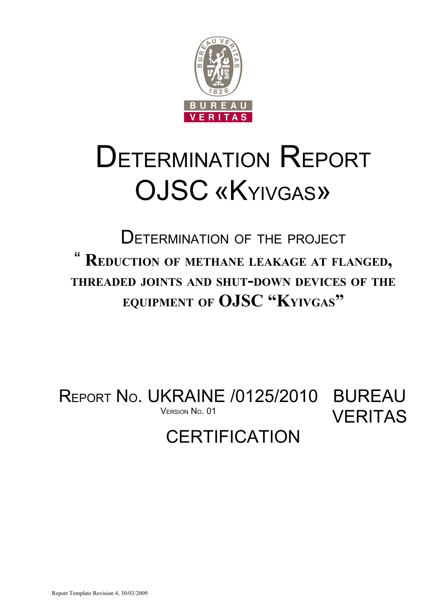

# DETERMINATION REPORT OJSC «KYIVGAS»

DETERMINATION OF THE PROJECT " **REDUCTION OF METHANE LEAKAGE AT FLANGED, THREADED JOINTS AND SHUT-DOWN DEVICES OF THE EQUIPMENT OF OJSC "KYIVGAS"**

REPORT No. UKRAINE /0125/2010 BUREAU VERITAS VERSION No. 01

# **CERTIFICATION**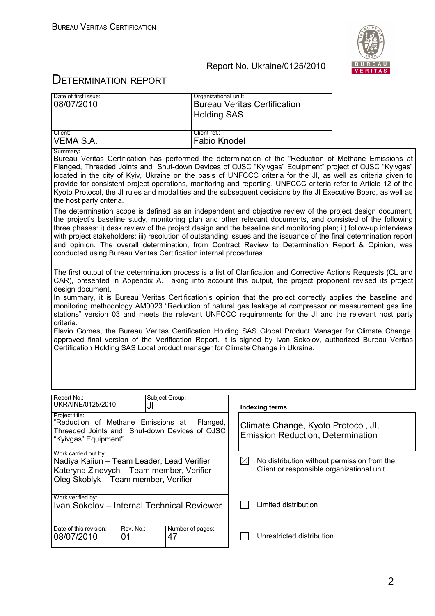

| Project title:                                                                                                                                                                                                                                                                                                                                                                                                                                                                                                                                                                                                                                  |                                     |                                     |  |
|-------------------------------------------------------------------------------------------------------------------------------------------------------------------------------------------------------------------------------------------------------------------------------------------------------------------------------------------------------------------------------------------------------------------------------------------------------------------------------------------------------------------------------------------------------------------------------------------------------------------------------------------------|-------------------------------------|-------------------------------------|--|
| Report No.:<br>UKRAINE/0125/2010                                                                                                                                                                                                                                                                                                                                                                                                                                                                                                                                                                                                                | Subject Group:<br>JI                | <b>Indexing terms</b>               |  |
|                                                                                                                                                                                                                                                                                                                                                                                                                                                                                                                                                                                                                                                 |                                     |                                     |  |
| Flavio Gomes, the Bureau Veritas Certification Holding SAS Global Product Manager for Climate Change,<br>approved final version of the Verification Report. It is signed by Ivan Sokolov, authorized Bureau Veritas<br>Certification Holding SAS Local product manager for Climate Change in Ukraine.                                                                                                                                                                                                                                                                                                                                           |                                     |                                     |  |
| design document.<br>In summary, it is Bureau Veritas Certification's opinion that the project correctly applies the baseline and<br>monitoring methodology AM0023 "Reduction of natural gas leakage at compressor or measurement gas line<br>stations" version 03 and meets the relevant UNFCCC requirements for the JI and the relevant host party<br>criteria.                                                                                                                                                                                                                                                                                |                                     |                                     |  |
| The first output of the determination process is a list of Clarification and Corrective Actions Requests (CL and<br>CAR), presented in Appendix A. Taking into account this output, the project proponent revised its project                                                                                                                                                                                                                                                                                                                                                                                                                   |                                     |                                     |  |
| The determination scope is defined as an independent and objective review of the project design document,<br>the project's baseline study, monitoring plan and other relevant documents, and consisted of the following<br>three phases: i) desk review of the project design and the baseline and monitoring plan; ii) follow-up interviews<br>with project stakeholders; iii) resolution of outstanding issues and the issuance of the final determination report<br>and opinion. The overall determination, from Contract Review to Determination Report & Opinion, was<br>conducted using Bureau Veritas Certification internal procedures. |                                     |                                     |  |
| Summary:<br>Bureau Veritas Certification has performed the determination of the "Reduction of Methane Emissions at<br>Flanged, Threaded Joints and Shut-down Devices of OJSC "Kyivgas" Equipment" project of OJSC "Kyivgas"<br>located in the city of Kyiv, Ukraine on the basis of UNFCCC criteria for the JI, as well as criteria given to<br>provide for consistent project operations, monitoring and reporting. UNFCCC criteria refer to Article 12 of the<br>Kyoto Protocol, the JI rules and modalities and the subsequent decisions by the JI Executive Board, as well as<br>the host party criteria.                                   |                                     |                                     |  |
| Client:<br>VEMA S.A.                                                                                                                                                                                                                                                                                                                                                                                                                                                                                                                                                                                                                            | Client ref.:<br><b>Fabio Knodel</b> |                                     |  |
|                                                                                                                                                                                                                                                                                                                                                                                                                                                                                                                                                                                                                                                 | <b>Holding SAS</b>                  |                                     |  |
| Date of first issue:<br>08/07/2010                                                                                                                                                                                                                                                                                                                                                                                                                                                                                                                                                                                                              | Organizational unit:                | <b>Bureau Veritas Certification</b> |  |

| Flanged,<br>Climate Change, Kyoto Protocol, JI,<br>Threaded Joints and Shut-down Devices of OJSC<br><b>Emission Reduction, Determination</b> |
|----------------------------------------------------------------------------------------------------------------------------------------------|
| No distribution without permission from the<br>IXI<br>Client or responsible organizational unit                                              |
| Limited distribution                                                                                                                         |
| Unrestricted distribution                                                                                                                    |
|                                                                                                                                              |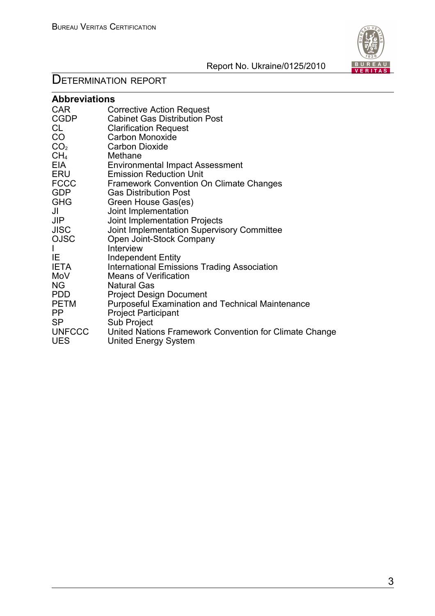

| <b>Abbreviations</b> |                                                         |  |  |
|----------------------|---------------------------------------------------------|--|--|
| <b>CAR</b>           | <b>Corrective Action Request</b>                        |  |  |
| <b>CGDP</b>          | <b>Cabinet Gas Distribution Post</b>                    |  |  |
| CL                   | <b>Clarification Request</b>                            |  |  |
| CO                   | Carbon Monoxide                                         |  |  |
| CO <sub>2</sub>      | <b>Carbon Dioxide</b>                                   |  |  |
| CH <sub>4</sub>      | Methane                                                 |  |  |
| EIA                  | <b>Environmental Impact Assessment</b>                  |  |  |
| ERU                  | <b>Emission Reduction Unit</b>                          |  |  |
| <b>FCCC</b>          | <b>Framework Convention On Climate Changes</b>          |  |  |
| <b>GDP</b>           | <b>Gas Distribution Post</b>                            |  |  |
| GHG                  | Green House Gas(es)                                     |  |  |
| JI                   | Joint Implementation                                    |  |  |
| <b>JIP</b>           | Joint Implementation Projects                           |  |  |
| <b>JISC</b>          | Joint Implementation Supervisory Committee              |  |  |
| <b>OJSC</b>          | Open Joint-Stock Company                                |  |  |
| I                    | Interview                                               |  |  |
| IE                   | <b>Independent Entity</b>                               |  |  |
| <b>IETA</b>          | <b>International Emissions Trading Association</b>      |  |  |
| MoV                  | <b>Means of Verification</b>                            |  |  |
| <b>NG</b>            | <b>Natural Gas</b>                                      |  |  |
| <b>PDD</b>           | <b>Project Design Document</b>                          |  |  |
| <b>PETM</b>          | <b>Purposeful Examination and Technical Maintenance</b> |  |  |
| <b>PP</b>            | <b>Project Participant</b>                              |  |  |
| <b>SP</b>            | Sub Project                                             |  |  |
| <b>UNFCCC</b>        | United Nations Framework Convention for Climate Change  |  |  |
| <b>UES</b>           | <b>United Energy System</b>                             |  |  |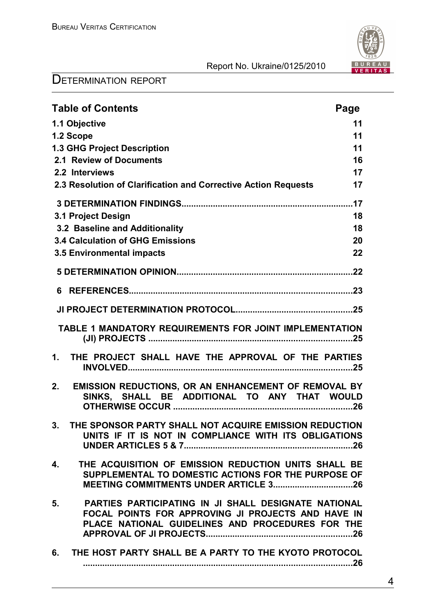

| <b>Table of Contents</b>                                                                                                                                             | Page |
|----------------------------------------------------------------------------------------------------------------------------------------------------------------------|------|
| 1.1 Objective                                                                                                                                                        | 11   |
| 1.2 Scope                                                                                                                                                            | 11   |
| <b>1.3 GHG Project Description</b>                                                                                                                                   | 11   |
| 2.1 Review of Documents                                                                                                                                              | 16   |
| 2.2 Interviews                                                                                                                                                       | 17   |
| 2.3 Resolution of Clarification and Corrective Action Requests                                                                                                       | 17   |
|                                                                                                                                                                      |      |
| 3.1 Project Design                                                                                                                                                   | 18   |
| 3.2 Baseline and Additionality                                                                                                                                       | 18   |
| <b>3.4 Calculation of GHG Emissions</b>                                                                                                                              | 20   |
| 3.5 Environmental impacts                                                                                                                                            | 22   |
|                                                                                                                                                                      |      |
|                                                                                                                                                                      |      |
|                                                                                                                                                                      |      |
| TABLE 1 MANDATORY REQUIREMENTS FOR JOINT IMPLEMENTATION                                                                                                              |      |
| THE PROJECT SHALL HAVE THE APPROVAL OF THE PARTIES<br>1 <sub>1</sub>                                                                                                 |      |
| EMISSION REDUCTIONS, OR AN ENHANCEMENT OF REMOVAL BY<br>2.<br>SINKS, SHALL BE ADDITIONAL TO ANY THAT WOULD                                                           |      |
| THE SPONSOR PARTY SHALL NOT ACQUIRE EMISSION REDUCTION<br>3.<br>UNITS IF IT IS NOT IN COMPLIANCE WITH ITS OBLIGATIONS                                                |      |
| THE ACQUISITION OF EMISSION REDUCTION UNITS SHALL BE<br>4.<br>SUPPLEMENTAL TO DOMESTIC ACTIONS FOR THE PURPOSE OF                                                    |      |
| PARTIES PARTICIPATING IN JI SHALL DESIGNATE NATIONAL<br>5.<br>FOCAL POINTS FOR APPROVING JI PROJECTS AND HAVE IN<br>PLACE NATIONAL GUIDELINES AND PROCEDURES FOR THE |      |
| THE HOST PARTY SHALL BE A PARTY TO THE KYOTO PROTOCOL<br>6.                                                                                                          |      |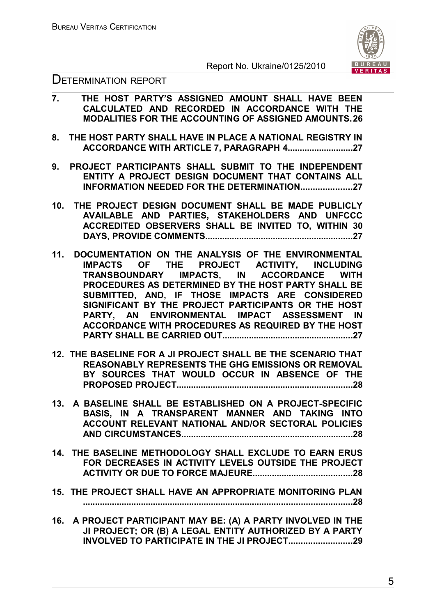



- **7. THE HOST PARTY'S ASSIGNED AMOUNT SHALL HAVE BEEN CALCULATED AND RECORDED IN ACCORDANCE WITH THE MODALITIES FOR THE ACCOUNTING OF ASSIGNED AMOUNTS.26**
- **8. THE HOST PARTY SHALL HAVE IN PLACE A NATIONAL REGISTRY IN ACCORDANCE WITH ARTICLE 7, PARAGRAPH 4...........................27**
- **9. PROJECT PARTICIPANTS SHALL SUBMIT TO THE INDEPENDENT ENTITY A PROJECT DESIGN DOCUMENT THAT CONTAINS ALL INFORMATION NEEDED FOR THE DETERMINATION.....................27**
- **10. THE PROJECT DESIGN DOCUMENT SHALL BE MADE PUBLICLY AVAILABLE AND PARTIES, STAKEHOLDERS AND UNFCCC ACCREDITED OBSERVERS SHALL BE INVITED TO, WITHIN 30 DAYS, PROVIDE COMMENTS.............................................................27**
- **11. DOCUMENTATION ON THE ANALYSIS OF THE ENVIRONMENTAL IMPACTS OF THE PROJECT ACTIVITY, INCLUDING TRANSBOUNDARY IMPACTS, IN ACCORDANCE WITH PROCEDURES AS DETERMINED BY THE HOST PARTY SHALL BE SUBMITTED, AND, IF THOSE IMPACTS ARE CONSIDERED SIGNIFICANT BY THE PROJECT PARTICIPANTS OR THE HOST PARTY, AN ENVIRONMENTAL IMPACT ASSESSMENT IN ACCORDANCE WITH PROCEDURES AS REQUIRED BY THE HOST PARTY SHALL BE CARRIED OUT......................................................27**
- **12. THE BASELINE FOR A JI PROJECT SHALL BE THE SCENARIO THAT REASONABLY REPRESENTS THE GHG EMISSIONS OR REMOVAL BY SOURCES THAT WOULD OCCUR IN ABSENCE OF THE PROPOSED PROJECT.........................................................................28**
- **13. A BASELINE SHALL BE ESTABLISHED ON A PROJECT-SPECIFIC BASIS, IN A TRANSPARENT MANNER AND TAKING INTO ACCOUNT RELEVANT NATIONAL AND/OR SECTORAL POLICIES AND CIRCUMSTANCES.......................................................................28**
- **14. THE BASELINE METHODOLOGY SHALL EXCLUDE TO EARN ERUS FOR DECREASES IN ACTIVITY LEVELS OUTSIDE THE PROJECT ACTIVITY OR DUE TO FORCE MAJEURE.........................................28**
- **15. THE PROJECT SHALL HAVE AN APPROPRIATE MONITORING PLAN ...............................................................................................................28**
- **16. A PROJECT PARTICIPANT MAY BE: (A) A PARTY INVOLVED IN THE JI PROJECT; OR (B) A LEGAL ENTITY AUTHORIZED BY A PARTY INVOLVED TO PARTICIPATE IN THE JI PROJECT..........................29**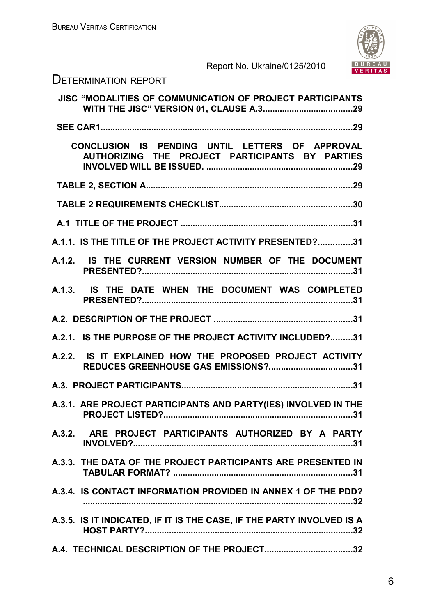

| <b>DETERMINATION REPORT</b>                                                                        |
|----------------------------------------------------------------------------------------------------|
| JISC "MODALITIES OF COMMUNICATION OF PROJECT PARTICIPANTS                                          |
|                                                                                                    |
| CONCLUSION IS PENDING UNTIL LETTERS OF APPROVAL<br>AUTHORIZING THE PROJECT PARTICIPANTS BY PARTIES |
|                                                                                                    |
|                                                                                                    |
|                                                                                                    |
| A.1.1. IS THE TITLE OF THE PROJECT ACTIVITY PRESENTED?31                                           |
| A.1.2. IS THE CURRENT VERSION NUMBER OF THE DOCUMENT                                               |
| A.1.3. IS THE DATE WHEN THE DOCUMENT WAS COMPLETED                                                 |
|                                                                                                    |
| A.2.1. IS THE PURPOSE OF THE PROJECT ACTIVITY INCLUDED?31                                          |
| A.2.2. IS IT EXPLAINED HOW THE PROPOSED PROJECT ACTIVITY<br>REDUCES GREENHOUSE GAS EMISSIONS?31    |
|                                                                                                    |
| A.3.1. ARE PROJECT PARTICIPANTS AND PARTY(IES) INVOLVED IN THE                                     |
| A.3.2. ARE PROJECT PARTICIPANTS AUTHORIZED BY A PARTY                                              |
| A.3.3. THE DATA OF THE PROJECT PARTICIPANTS ARE PRESENTED IN                                       |
| A.3.4. IS CONTACT INFORMATION PROVIDED IN ANNEX 1 OF THE PDD?                                      |
| A.3.5. IS IT INDICATED, IF IT IS THE CASE, IF THE PARTY INVOLVED IS A                              |
|                                                                                                    |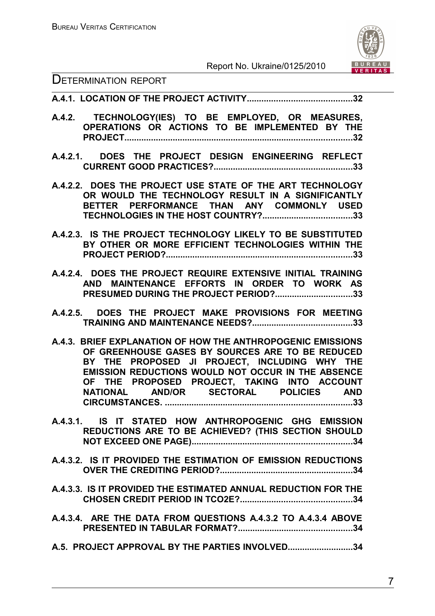

#### DETERMINATION REPORT

**A.4.1. LOCATION OF THE PROJECT ACTIVITY...........................................32**

- **A.4.2. TECHNOLOGY(IES) TO BE EMPLOYED, OR MEASURES, OPERATIONS OR ACTIONS TO BE IMPLEMENTED BY THE PROJECT..............................................................................................32**
- **A.4.2.1. DOES THE PROJECT DESIGN ENGINEERING REFLECT CURRENT GOOD PRACTICES?.........................................................33**
- **A.4.2.2. DOES THE PROJECT USE STATE OF THE ART TECHNOLOGY OR WOULD THE TECHNOLOGY RESULT IN A SIGNIFICANTLY BETTER PERFORMANCE THAN ANY COMMONLY USED TECHNOLOGIES IN THE HOST COUNTRY?.....................................33**
- **A.4.2.3. IS THE PROJECT TECHNOLOGY LIKELY TO BE SUBSTITUTED BY OTHER OR MORE EFFICIENT TECHNOLOGIES WITHIN THE PROJECT PERIOD?.............................................................................33**
- **A.4.2.4. DOES THE PROJECT REQUIRE EXTENSIVE INITIAL TRAINING AND MAINTENANCE EFFORTS IN ORDER TO WORK AS PRESUMED DURING THE PROJECT PERIOD?................................33**
- **A.4.2.5. DOES THE PROJECT MAKE PROVISIONS FOR MEETING TRAINING AND MAINTENANCE NEEDS?.........................................33**
- **A.4.3. BRIEF EXPLANATION OF HOW THE ANTHROPOGENIC EMISSIONS OF GREENHOUSE GASES BY SOURCES ARE TO BE REDUCED BY THE PROPOSED JI PROJECT, INCLUDING WHY THE EMISSION REDUCTIONS WOULD NOT OCCUR IN THE ABSENCE OF THE PROPOSED PROJECT, TAKING INTO ACCOUNT NATIONAL AND/OR SECTORAL POLICIES AND CIRCUMSTANCES. .............................................................................33**
- **A.4.3.1. IS IT STATED HOW ANTHROPOGENIC GHG EMISSION REDUCTIONS ARE TO BE ACHIEVED? (THIS SECTION SHOULD NOT EXCEED ONE PAGE)..................................................................34**
- **A.4.3.2. IS IT PROVIDED THE ESTIMATION OF EMISSION REDUCTIONS OVER THE CREDITING PERIOD?.......................................................34**
- **A.4.3.3. IS IT PROVIDED THE ESTIMATED ANNUAL REDUCTION FOR THE CHOSEN CREDIT PERIOD IN TCO2E?..............................................34**
- **A.4.3.4. ARE THE DATA FROM QUESTIONS A.4.3.2 TO A.4.3.4 ABOVE PRESENTED IN TABULAR FORMAT?...............................................34**
- **A.5. PROJECT APPROVAL BY THE PARTIES INVOLVED...........................34**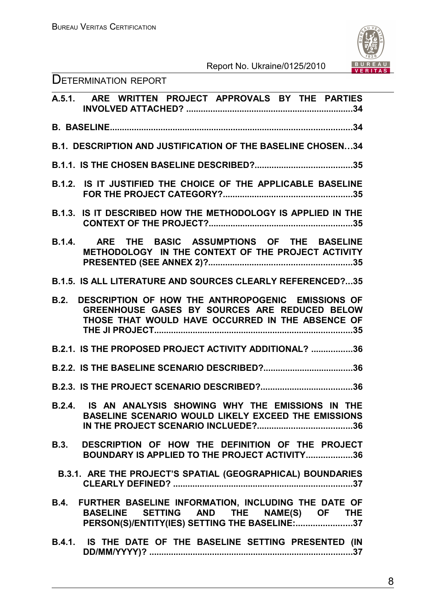

| <b>DETERMINATION REPORT</b> |  |
|-----------------------------|--|
|-----------------------------|--|

| A.5.1. ARE WRITTEN PROJECT APPROVALS BY THE PARTIES                                                                                                            |
|----------------------------------------------------------------------------------------------------------------------------------------------------------------|
|                                                                                                                                                                |
| <b>B.1. DESCRIPTION AND JUSTIFICATION OF THE BASELINE CHOSEN34</b>                                                                                             |
|                                                                                                                                                                |
| <b>B.1.2. IS IT JUSTIFIED THE CHOICE OF THE APPLICABLE BASELINE</b>                                                                                            |
| IS IT DESCRIBED HOW THE METHODOLOGY IS APPLIED IN THE<br>B.1.3.                                                                                                |
| ARE THE BASIC ASSUMPTIONS OF THE BASELINE<br>B.1.4.<br>METHODOLOGY IN THE CONTEXT OF THE PROJECT ACTIVITY                                                      |
| <b>B.1.5. IS ALL LITERATURE AND SOURCES CLEARLY REFERENCED?35</b>                                                                                              |
| DESCRIPTION OF HOW THE ANTHROPOGENIC EMISSIONS OF<br>B.2.<br>GREENHOUSE GASES BY SOURCES ARE REDUCED BELOW<br>THOSE THAT WOULD HAVE OCCURRED IN THE ABSENCE OF |
| B.2.1. IS THE PROPOSED PROJECT ACTIVITY ADDITIONAL? 36                                                                                                         |
|                                                                                                                                                                |
|                                                                                                                                                                |
| B.2.4. IS AN ANALYSIS SHOWING WHY THE EMISSIONS IN THE<br>BASELINE SCENARIO WOULD LIKELY EXCEED THE EMISSIONS                                                  |
| B.3. DESCRIPTION OF HOW THE DEFINITION OF THE PROJECT<br>BOUNDARY IS APPLIED TO THE PROJECT ACTIVITY36                                                         |
| B.3.1. ARE THE PROJECT'S SPATIAL (GEOGRAPHICAL) BOUNDARIES                                                                                                     |
| B.4. FURTHER BASELINE INFORMATION, INCLUDING THE DATE OF<br>BASELINE SETTING AND THE NAME(S) OF THE<br>PERSON(S)/ENTITY(IES) SETTING THE BASELINE:37           |
| B.4.1. IS THE DATE OF THE BASELINE SETTING PRESENTED (IN                                                                                                       |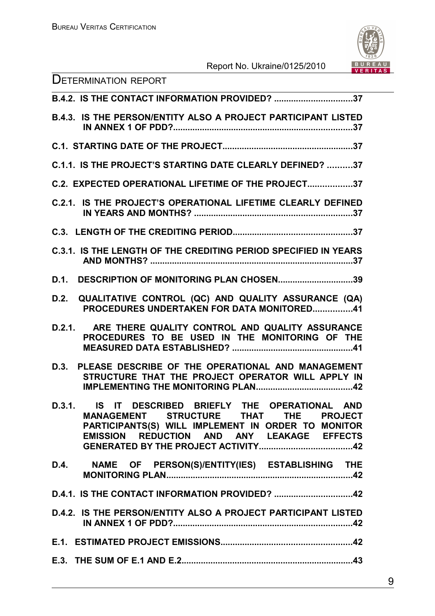

| <b>DETERMINATION REPORT</b>                                                                                                                                                                     |
|-------------------------------------------------------------------------------------------------------------------------------------------------------------------------------------------------|
| B.4.2. IS THE CONTACT INFORMATION PROVIDED? 37                                                                                                                                                  |
| <b>B.4.3. IS THE PERSON/ENTITY ALSO A PROJECT PARTICIPANT LISTED</b>                                                                                                                            |
|                                                                                                                                                                                                 |
| C.1.1. IS THE PROJECT'S STARTING DATE CLEARLY DEFINED? 37                                                                                                                                       |
| C.2. EXPECTED OPERATIONAL LIFETIME OF THE PROJECT37                                                                                                                                             |
| <b>C.2.1. IS THE PROJECT'S OPERATIONAL LIFETIME CLEARLY DEFINED</b>                                                                                                                             |
|                                                                                                                                                                                                 |
| <b>C.3.1. IS THE LENGTH OF THE CREDITING PERIOD SPECIFIED IN YEARS</b>                                                                                                                          |
| D.1. DESCRIPTION OF MONITORING PLAN CHOSEN39                                                                                                                                                    |
| QUALITATIVE CONTROL (QC) AND QUALITY ASSURANCE (QA)<br>D.2.<br><b>PROCEDURES UNDERTAKEN FOR DATA MONITORED41</b>                                                                                |
| ARE THERE QUALITY CONTROL AND QUALITY ASSURANCE<br>D.2.1.<br>PROCEDURES TO BE USED IN THE MONITORING OF THE                                                                                     |
| PLEASE DESCRIBE OF THE OPERATIONAL AND MANAGEMENT<br>D.3.<br>STRUCTURE THAT THE PROJECT OPERATOR WILL APPLY IN                                                                                  |
| D.3.1. IS IT DESCRIBED BRIEFLY THE OPERATIONAL AND<br>MANAGEMENT STRUCTURE THAT THE PROJECT<br>PARTICIPANTS(S) WILL IMPLEMENT IN ORDER TO MONITOR<br>EMISSION REDUCTION AND ANY LEAKAGE EFFECTS |
| D.4. NAME OF PERSON(S)/ENTITY(IES) ESTABLISHING THE                                                                                                                                             |
| D.4.1. IS THE CONTACT INFORMATION PROVIDED? 42                                                                                                                                                  |
| D.4.2. IS THE PERSON/ENTITY ALSO A PROJECT PARTICIPANT LISTED                                                                                                                                   |
|                                                                                                                                                                                                 |
|                                                                                                                                                                                                 |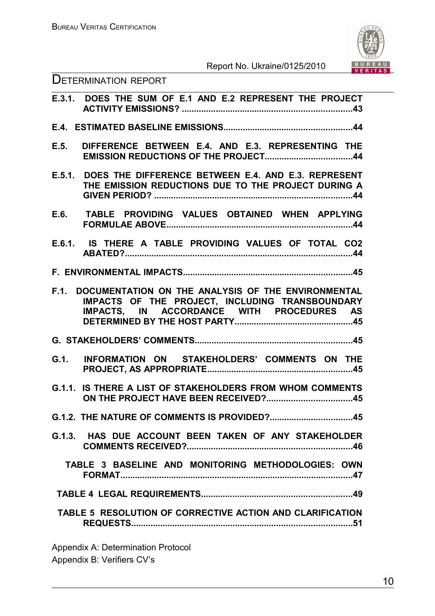

| <b>DETERMINATION REPORT</b> |
|-----------------------------|
|-----------------------------|

|        | E.3.1. DOES THE SUM OF E.1 AND E.2 REPRESENT THE PROJECT                                                                                           |
|--------|----------------------------------------------------------------------------------------------------------------------------------------------------|
|        |                                                                                                                                                    |
| E.5.   | DIFFERENCE BETWEEN E.4. AND E.3. REPRESENTING THE                                                                                                  |
|        | E.5.1. DOES THE DIFFERENCE BETWEEN E.4. AND E.3. REPRESENT<br>THE EMISSION REDUCTIONS DUE TO THE PROJECT DURING A                                  |
|        | E.6. TABLE PROVIDING VALUES OBTAINED WHEN APPLYING                                                                                                 |
|        | E.6.1. IS THERE A TABLE PROVIDING VALUES OF TOTAL CO2                                                                                              |
|        |                                                                                                                                                    |
| F.1.   | DOCUMENTATION ON THE ANALYSIS OF THE ENVIRONMENTAL<br>IMPACTS OF THE PROJECT, INCLUDING TRANSBOUNDARY<br>IMPACTS, IN ACCORDANCE WITH PROCEDURES AS |
|        |                                                                                                                                                    |
| G.1.   | INFORMATION ON STAKEHOLDERS' COMMENTS ON THE                                                                                                       |
| G.1.1. | IS THERE A LIST OF STAKEHOLDERS FROM WHOM COMMENTS                                                                                                 |
|        |                                                                                                                                                    |
|        | G.1.3. HAS DUE ACCOUNT BEEN TAKEN OF ANY STAKEHOLDER                                                                                               |
|        | TABLE 3 BASELINE AND MONITORING METHODOLOGIES: OWN                                                                                                 |
|        |                                                                                                                                                    |
|        | TABLE 5 RESOLUTION OF CORRECTIVE ACTION AND CLARIFICATION                                                                                          |

Appendix A: Determination Protocol Appendix B: Verifiers CV's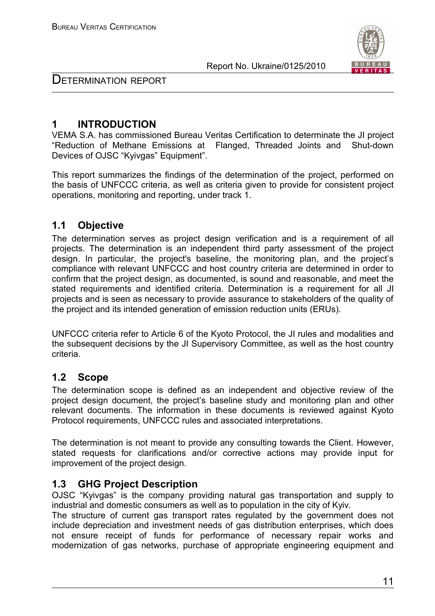

DETERMINATION REPORT

# **1 INTRODUCTION**

VEMA S.A. has commissioned Bureau Veritas Certification to determinate the JI project "Reduction of Methane Emissions at Flanged, Threaded Joints and Shut-down Devices of OJSC "Kyivgas" Equipment".

This report summarizes the findings of the determination of the project, performed on the basis of UNFCCC criteria, as well as criteria given to provide for consistent project operations, monitoring and reporting, under track 1.

# **1.1 Objective**

The determination serves as project design verification and is a requirement of all projects. The determination is an independent third party assessment of the project design. In particular, the project's baseline, the monitoring plan, and the project's compliance with relevant UNFCCC and host country criteria are determined in order to confirm that the project design, as documented, is sound and reasonable, and meet the stated requirements and identified criteria. Determination is a requirement for all JI projects and is seen as necessary to provide assurance to stakeholders of the quality of the project and its intended generation of emission reduction units (ERUs).

UNFCCC criteria refer to Article 6 of the Kyoto Protocol, the JI rules and modalities and the subsequent decisions by the JI Supervisory Committee, as well as the host country criteria.

# **1.2 Scope**

The determination scope is defined as an independent and objective review of the project design document, the project's baseline study and monitoring plan and other relevant documents. The information in these documents is reviewed against Kyoto Protocol requirements, UNFCCC rules and associated interpretations.

The determination is not meant to provide any consulting towards the Client. However, stated requests for clarifications and/or corrective actions may provide input for improvement of the project design.

# **1.3 GHG Project Description**

OJSC "Kyivgas" is the company providing natural gas transportation and supply to industrial and domestic consumers as well as to population in the city of Kyiv.

The structure of current gas transport rates regulated by the government does not include depreciation and investment needs of gas distribution enterprises, which does not ensure receipt of funds for performance of necessary repair works and modernization of gas networks, purchase of appropriate engineering equipment and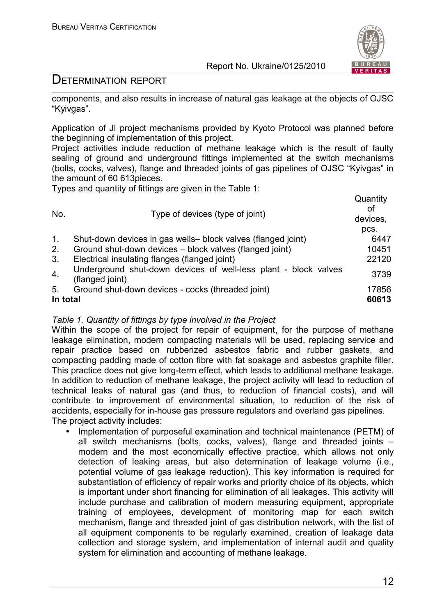

# DETERMINATION REPORT

components, and also results in increase of natural gas leakage at the objects of OJSC "Kyivgas".

Application of JI project mechanisms provided by Kyoto Protocol was planned before the beginning of implementation of this project.

Project activities include reduction of methane leakage which is the result of faulty sealing of ground and underground fittings implemented at the switch mechanisms (bolts, cocks, valves), flange and threaded joints of gas pipelines of OJSC "Kyivgas" in the amount of 60 613pieces.

Types and quantity of fittings are given in the Table 1:

| No.      | Type of devices (type of joint)                                                    | Quantity<br>οf<br>devices,<br>pcs. |
|----------|------------------------------------------------------------------------------------|------------------------------------|
|          | Shut-down devices in gas wells- block valves (flanged joint)                       | 6447                               |
| 2.       | Ground shut-down devices - block valves (flanged joint)                            | 10451                              |
| 3.       | Electrical insulating flanges (flanged joint)                                      | 22120                              |
| 4.       | Underground shut-down devices of well-less plant - block valves<br>(flanged joint) | 3739                               |
| 5.       | Ground shut-down devices - cocks (threaded joint)                                  | 17856                              |
| In total |                                                                                    | 60613                              |

### *Table 1. Quantity of fittings by type involved in the Project*

Within the scope of the project for repair of equipment, for the purpose of methane leakage elimination, modern compacting materials will be used, replacing service and repair practice based on rubberized asbestos fabric and rubber gaskets, and compacting padding made of cotton fibre with fat soakage and asbestos graphite filler. This practice does not give long-term effect, which leads to additional methane leakage. In addition to reduction of methane leakage, the project activity will lead to reduction of technical leaks of natural gas (and thus, to reduction of financial costs), and will contribute to improvement of environmental situation, to reduction of the risk of accidents, especially for in-house gas pressure regulators and overland gas pipelines. The project activity includes:

• Implementation of purposeful examination and technical maintenance (PETM) of all switch mechanisms (bolts, cocks, valves), flange and threaded joints – modern and the most economically effective practice, which allows not only detection of leaking areas, but also determination of leakage volume (i.e., potential volume of gas leakage reduction). This key information is required for substantiation of efficiency of repair works and priority choice of its objects, which is important under short financing for elimination of all leakages. This activity will include purchase and calibration of modern measuring equipment, appropriate training of employees, development of monitoring map for each switch mechanism, flange and threaded joint of gas distribution network, with the list of all equipment components to be regularly examined, creation of leakage data collection and storage system, and implementation of internal audit and quality system for elimination and accounting of methane leakage.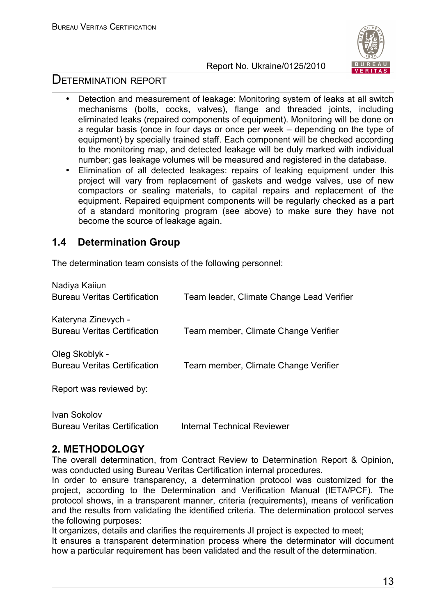

# DETERMINATION REPORT

- Detection and measurement of leakage: Monitoring system of leaks at all switch mechanisms (bolts, cocks, valves), flange and threaded joints, including eliminated leaks (repaired components of equipment). Monitoring will be done on a regular basis (once in four days or once per week – depending on the type of equipment) by specially trained staff. Each component will be checked according to the monitoring map, and detected leakage will be duly marked with individual number; gas leakage volumes will be measured and registered in the database.
- Elimination of all detected leakages: repairs of leaking equipment under this project will vary from replacement of gaskets and wedge valves, use of new compactors or sealing materials, to capital repairs and replacement of the equipment. Repaired equipment components will be regularly checked as a part of a standard monitoring program (see above) to make sure they have not become the source of leakage again.

# **1.4 Determination Group**

The determination team consists of the following personnel:

| Nadiya Kaiiun<br><b>Bureau Veritas Certification</b>       | Team leader, Climate Change Lead Verifier |
|------------------------------------------------------------|-------------------------------------------|
| Kateryna Zinevych -<br><b>Bureau Veritas Certification</b> | Team member, Climate Change Verifier      |
| Oleg Skoblyk -<br><b>Bureau Veritas Certification</b>      | Team member, Climate Change Verifier      |
| Report was reviewed by:                                    |                                           |
|                                                            |                                           |

Ivan Sokolov Bureau Veritas Certification Internal Technical Reviewer

# **2. METHODOLOGY**

The overall determination, from Contract Review to Determination Report & Opinion, was conducted using Bureau Veritas Certification internal procedures.

In order to ensure transparency, a determination protocol was customized for the project, according to the Determination and Verification Manual (IETA/PCF). The protocol shows, in a transparent manner, criteria (requirements), means of verification and the results from validating the identified criteria. The determination protocol serves the following purposes:

It organizes, details and clarifies the requirements JI project is expected to meet; It ensures a transparent determination process where the determinator will document how a particular requirement has been validated and the result of the determination.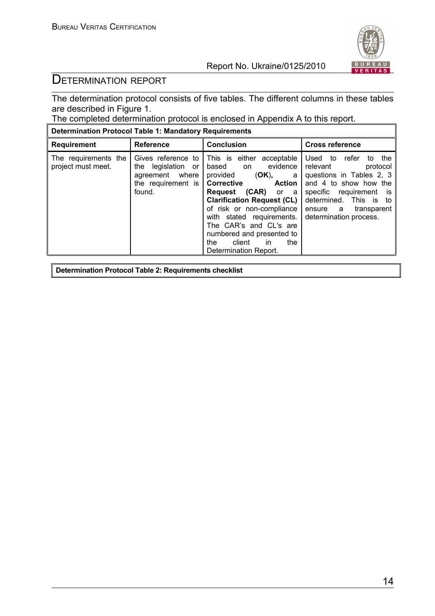

# DETERMINATION REPORT

The determination protocol consists of five tables. The different columns in these tables are described in Figure 1.

The completed determination protocol is enclosed in Appendix A to this report.

| <b>Determination Protocol Table 1: Mandatory Requirements</b> |                                                                                                 |                                                                                                                                                                                                                                                                                                                                                      |                                                                                                                                                                                                                   |  |  |  |  |  |
|---------------------------------------------------------------|-------------------------------------------------------------------------------------------------|------------------------------------------------------------------------------------------------------------------------------------------------------------------------------------------------------------------------------------------------------------------------------------------------------------------------------------------------------|-------------------------------------------------------------------------------------------------------------------------------------------------------------------------------------------------------------------|--|--|--|--|--|
| <b>Requirement</b>                                            | <b>Reference</b>                                                                                | <b>Conclusion</b>                                                                                                                                                                                                                                                                                                                                    | <b>Cross reference</b>                                                                                                                                                                                            |  |  |  |  |  |
| The requirements the<br>project must meet.                    | Gives reference to<br>the legislation or<br>agreement where<br>the requirement is $ $<br>found. | This is either acceptable<br>evidence<br>based on<br>provided<br>(OK),<br>a<br>Corrective<br><b>Action</b><br>$(CAR)$ or a<br>Request<br><b>Clarification Request (CL)</b><br>of risk or non-compliance<br>with stated requirements.<br>The CAR's and CL's are<br>numbered and presented to<br>client<br>the.<br>in.<br>the<br>Determination Report. | Used to<br>refer<br>the<br>to<br>relevant<br>protocol<br>questions in Tables 2, 3<br>and 4 to show how the<br>specific requirement is<br>determined. This is to<br>ensure a transparent<br>determination process. |  |  |  |  |  |

**Determination Protocol Table 2: Requirements checklist**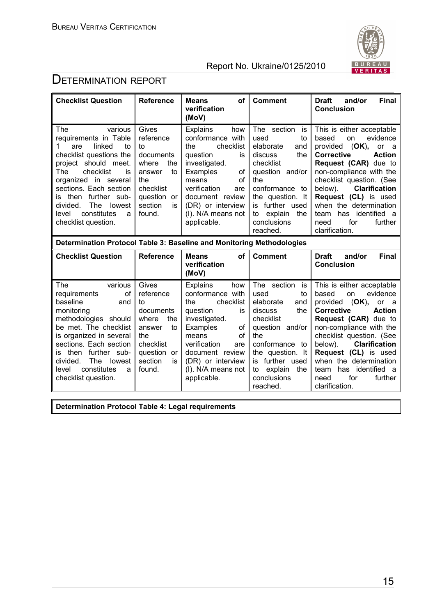

# **DETERMINATION REPORT**

| <b>Checklist Question</b>                                                                                                                                                                                                                                                                                     | <b>Reference</b>                                                                                                                       | οf<br><b>Means</b><br>verification<br>(MoV)                                                                                                                                                                                            | <b>Comment</b>                                                                                                                                                                                                                 | <b>Final</b><br><b>Draft</b><br>and/or<br><b>Conclusion</b>                                                                                                                                                                                                                                                                                                                   |  |  |  |
|---------------------------------------------------------------------------------------------------------------------------------------------------------------------------------------------------------------------------------------------------------------------------------------------------------------|----------------------------------------------------------------------------------------------------------------------------------------|----------------------------------------------------------------------------------------------------------------------------------------------------------------------------------------------------------------------------------------|--------------------------------------------------------------------------------------------------------------------------------------------------------------------------------------------------------------------------------|-------------------------------------------------------------------------------------------------------------------------------------------------------------------------------------------------------------------------------------------------------------------------------------------------------------------------------------------------------------------------------|--|--|--|
| The<br>various<br>requirements in Table<br>linked<br>are<br>to<br>checklist questions the<br>project should meet.<br>The<br>checklist<br>is<br>organized in several<br>sections. Each section<br>further sub-<br>then<br>İS.<br>divided.<br>The<br>lowest<br>constitutes<br>level<br>a<br>checklist question. | Gives<br>reference<br>t٥<br>documents<br>where<br>the<br>answer<br>to<br>the<br>checklist<br>question<br>or<br>section<br>is<br>found. | <b>Explains</b><br>how<br>conformance with<br>checklist<br>the<br>question<br>is<br>investigated.<br>Examples<br>οf<br>οf<br>means<br>verification<br>are<br>document review<br>(DR) or interview<br>(I). N/A means not<br>applicable. | The<br>section<br>is<br>used<br>to<br>elaborate<br>and<br>the<br>discuss<br>checklist<br>question and/or<br>the<br>conformance to<br>the question. It<br>further used<br>is<br>explain<br>the<br>to<br>conclusions<br>reached. | This is either acceptable<br>evidence<br>based<br>on<br>(OK),<br>provided<br>or<br>- a<br><b>Corrective</b><br><b>Action</b><br>Request (CAR) due to<br>non-compliance with the<br>checklist question. (See<br><b>Clarification</b><br>below).<br>Request (CL) is used<br>when the determination<br>has identified<br>team<br>- a<br>for<br>further<br>need<br>clarification. |  |  |  |
|                                                                                                                                                                                                                                                                                                               | Determination Protocol Table 3: Baseline and Monitoring Methodologies                                                                  |                                                                                                                                                                                                                                        |                                                                                                                                                                                                                                |                                                                                                                                                                                                                                                                                                                                                                               |  |  |  |
| <b>Checklist Question</b>                                                                                                                                                                                                                                                                                     | <b>Reference</b>                                                                                                                       | of<br><b>Means</b><br>verification<br>(MoV)                                                                                                                                                                                            | <b>Comment</b>                                                                                                                                                                                                                 | <b>Draft</b><br>and/or<br><b>Final</b><br><b>Conclusion</b>                                                                                                                                                                                                                                                                                                                   |  |  |  |
| various<br>The<br>requirements<br>οf<br>baseline<br>and<br>monitoring<br>methodologies should<br>be met. The checklist<br>is organized in several<br>sections. Each section<br>further sub-<br>then<br>IS<br>The<br>divided.<br>lowest<br>constitutes<br>level<br>a<br>checklist question.                    | Gives<br>reference<br>to<br>documents<br>where<br>the<br>to<br>answer<br>the<br>checklist<br>question or<br>section<br>is<br>found.    | <b>Explains</b><br>how<br>conformance with<br>checklist<br>the<br>question<br>is<br>investigated.<br>Examples<br>of<br>of<br>means<br>verification<br>are<br>document review<br>(DR) or interview<br>(I). N/A means not<br>applicable. | section<br>The<br>is<br>used<br>to<br>elaborate<br>and<br>discuss<br>the<br>checklist<br>question and/or<br>the<br>conformance to<br>the question. It<br>further used<br>is<br>explain<br>the<br>to<br>conclusions<br>reached. | This is either acceptable<br>evidence<br>based<br>on<br>(OK),<br>provided<br>or<br>- a<br><b>Corrective</b><br><b>Action</b><br>Request (CAR) due to<br>non-compliance with the<br>checklist question. (See<br><b>Clarification</b><br>below).<br>Request (CL) is used<br>when the determination<br>has identified a<br>team<br>for<br>further<br>need<br>clarification.      |  |  |  |

**Determination Protocol Table 4: Legal requirements**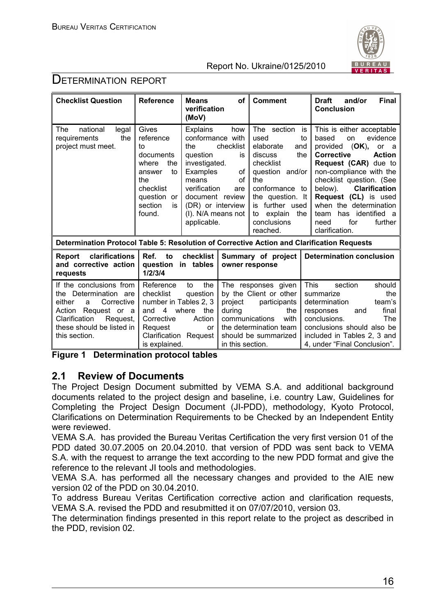

# DETERMINATION REPORT

| <b>Checklist Question</b>                                                                                                                                                          | <b>Reference</b>                                                                                                                    | <b>Means</b><br>verification<br>(MoV)                                                                                                                                                                                                  | οf                                                      | <b>Comment</b>                                                                                                                                                                                               | <b>Final</b><br><b>Draft</b><br>and/or<br><b>Conclusion</b>                                                                                                                                                                                                                                                                                                                  |
|------------------------------------------------------------------------------------------------------------------------------------------------------------------------------------|-------------------------------------------------------------------------------------------------------------------------------------|----------------------------------------------------------------------------------------------------------------------------------------------------------------------------------------------------------------------------------------|---------------------------------------------------------|--------------------------------------------------------------------------------------------------------------------------------------------------------------------------------------------------------------|------------------------------------------------------------------------------------------------------------------------------------------------------------------------------------------------------------------------------------------------------------------------------------------------------------------------------------------------------------------------------|
| national<br>legal<br>The<br>the<br>requirements<br>project must meet.                                                                                                              | Gives<br>reference<br>to<br>documents<br>the<br>where<br>to<br>answer<br>the<br>checklist<br>question or<br>section<br>is<br>found. | <b>Explains</b><br>how<br>conformance with<br>checklist<br>the<br>question<br>is<br>investigated.<br>Examples<br>of<br>0f<br>means<br>verification<br>are<br>document review<br>(DR) or interview<br>(I). N/A means not<br>applicable. |                                                         | The section<br>used<br>elaborate<br>and<br>discuss<br>the<br>checklist<br>question and/or<br>the<br>conformance to<br>the question. It<br>is further used<br>explain<br>to<br>the<br>conclusions<br>reached. | This is either acceptable<br>is<br>evidence<br>based<br>on<br>to<br>provided (OK),<br>or a<br><b>Corrective</b><br><b>Action</b><br>Request (CAR) due to<br>non-compliance with the<br>checklist question. (See<br><b>Clarification</b><br>below).<br>Request (CL) is used<br>when the determination<br>has identified a<br>team<br>for<br>further<br>need<br>clarification. |
| Determination Protocol Table 5: Resolution of Corrective Action and Clarification Requests                                                                                         |                                                                                                                                     |                                                                                                                                                                                                                                        |                                                         |                                                                                                                                                                                                              |                                                                                                                                                                                                                                                                                                                                                                              |
| clarifications<br>Report<br>and corrective action<br>requests                                                                                                                      | Ref.<br>to<br>question in tables<br>1/2/3/4                                                                                         | checklist                                                                                                                                                                                                                              |                                                         | Summary of project<br>owner response                                                                                                                                                                         | <b>Determination conclusion</b>                                                                                                                                                                                                                                                                                                                                              |
| If the conclusions from<br>the Determination are<br>Corrective<br>either<br>a<br>Action<br>Request or a<br>Request,<br>Clarification<br>these should be listed in<br>this section. | Reference<br>checklist<br>number in Tables 2, 3<br>4 where<br>and<br>Corrective<br>Request<br>Clarification<br>is explained.        | the<br>to<br>question<br>the<br>Action<br>or<br>Request                                                                                                                                                                                | project<br>during<br>communications<br>in this section. | The responses given<br>by the Client or other<br>participants<br>the<br>with<br>the determination team<br>should be summarized                                                                               | <b>This</b><br>section<br>should<br>summarize<br>the<br>determination<br>team's<br>final<br>responses<br>and<br>conclusions.<br>The<br>conclusions should also be<br>included in Tables 2, 3 and<br>4, under "Final Conclusion".                                                                                                                                             |

**Figure 1 Determination protocol tables**

# **2.1 Review of Documents**

The Project Design Document submitted by VEMA S.A. and additional background documents related to the project design and baseline, i.e. country Law, Guidelines for Completing the Project Design Document (JI-PDD), methodology, Kyoto Protocol, Clarifications on Determination Requirements to be Checked by an Independent Entity were reviewed.

VEMA S.A. has provided the Bureau Veritas Certification the very first version 01 of the PDD dated 30.07.2005 on 20.04.2010. that version of PDD was sent back to VEMA S.A. with the request to arrange the text according to the new PDD format and give the reference to the relevant JI tools and methodologies.

VEMA S.A. has performed all the necessary changes and provided to the AIE new version 02 of the PDD on 30.04.2010.

To address Bureau Veritas Certification corrective action and clarification requests, VEMA S.A. revised the PDD and resubmitted it on 07/07/2010, version 03.

The determination findings presented in this report relate to the project as described in the PDD, revision 02.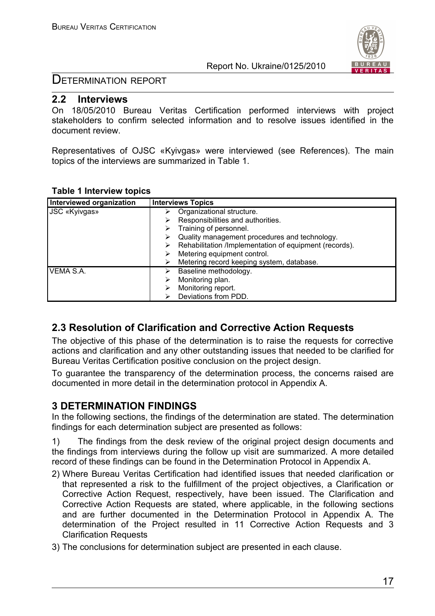

### DETERMINATION REPORT

#### **2.2 Interviews**

On 18/05/2010 Bureau Veritas Certification performed interviews with project stakeholders to confirm selected information and to resolve issues identified in the document review.

Representatives of OJSC «Kyivgas» were interviewed (see References). The main topics of the interviews are summarized in Table 1.

| Interviewed organization | <b>Interviews Topics</b>                               |
|--------------------------|--------------------------------------------------------|
| <b>JSC «Kyivgas»</b>     | Organizational structure.                              |
|                          | Responsibilities and authorities.                      |
|                          | Training of personnel.                                 |
|                          | Quality management procedures and technology.          |
|                          | Rehabilitation /Implementation of equipment (records). |
|                          | Metering equipment control.                            |
|                          | Metering record keeping system, database.              |
| VEMA S.A.                | Baseline methodology.                                  |
|                          | Monitoring plan.                                       |
|                          | Monitoring report.                                     |
|                          | Deviations from PDD.                                   |

#### **Table 1 Interview topics**

# **2.3 Resolution of Clarification and Corrective Action Requests**

The objective of this phase of the determination is to raise the requests for corrective actions and clarification and any other outstanding issues that needed to be clarified for Bureau Veritas Certification positive conclusion on the project design.

To guarantee the transparency of the determination process, the concerns raised are documented in more detail in the determination protocol in Appendix A.

# **3 DETERMINATION FINDINGS**

In the following sections, the findings of the determination are stated. The determination findings for each determination subject are presented as follows:

1) The findings from the desk review of the original project design documents and the findings from interviews during the follow up visit are summarized. A more detailed record of these findings can be found in the Determination Protocol in Appendix A.

- 2) Where Bureau Veritas Certification had identified issues that needed clarification or that represented a risk to the fulfillment of the project objectives, a Clarification or Corrective Action Request, respectively, have been issued. The Clarification and Corrective Action Requests are stated, where applicable, in the following sections and are further documented in the Determination Protocol in Appendix A. The determination of the Project resulted in 11 Corrective Action Requests and 3 Clarification Requests
- 3) The conclusions for determination subject are presented in each clause.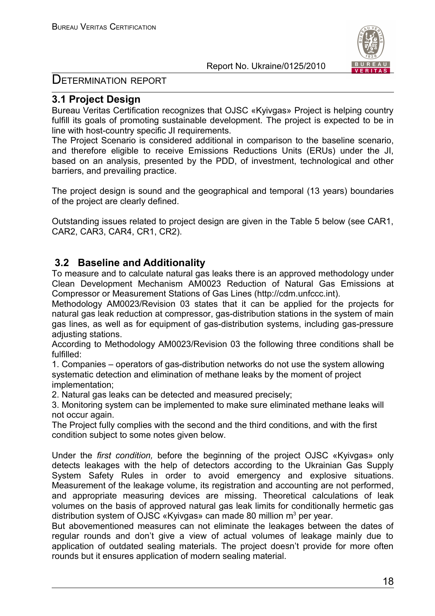

DETERMINATION REPORT

# **3.1 Project Design**

Bureau Veritas Certification recognizes that OJSC «Kyivgas» Project is helping country fulfill its goals of promoting sustainable development. The project is expected to be in line with host-country specific JI requirements.

The Project Scenario is considered additional in comparison to the baseline scenario, and therefore eligible to receive Emissions Reductions Units (ERUs) under the JI, based on an analysis, presented by the PDD, of investment, technological and other barriers, and prevailing practice.

The project design is sound and the geographical and temporal (13 years) boundaries of the project are clearly defined.

Outstanding issues related to project design are given in the Table 5 below (see CAR1, CAR2, CAR3, CAR4, CR1, CR2).

# **3.2 Baseline and Additionality**

To measure and to calculate natural gas leaks there is an approved methodology under Clean Development Mechanism AM0023 Reduction of Natural Gas Emissions at Compressor or Measurement Stations of Gas Lines (http://cdm.unfccc.int).

Methodology AM0023/Revision 03 states that it can be applied for the projects for natural gas leak reduction at compressor, gas-distribution stations in the system of main gas lines, as well as for equipment of gas-distribution systems, including gas-pressure adiusting stations.

According to Methodology AM0023/Revision 03 the following three conditions shall be fulfilled:

1. Companies – operators of gas-distribution networks do not use the system allowing systematic detection and elimination of methane leaks by the moment of project implementation;

2. Natural gas leaks can be detected and measured precisely;

3. Monitoring system can be implemented to make sure eliminated methane leaks will not occur again.

The Project fully complies with the second and the third conditions, and with the first condition subject to some notes given below.

Under the *first condition,* before the beginning of the project OJSC «Kyivgas» only detects leakages with the help of detectors according to the Ukrainian Gas Supply System Safety Rules in order to avoid emergency and explosive situations. Measurement of the leakage volume, its registration and accounting are not performed, and appropriate measuring devices are missing. Theoretical calculations of leak volumes on the basis of approved natural gas leak limits for conditionally hermetic gas distribution system of OJSC «Kyivgas» can made 80 million  $m^3$  per year.

But abovementioned measures can not eliminate the leakages between the dates of regular rounds and don't give a view of actual volumes of leakage mainly due to application of outdated sealing materials. The project doesn't provide for more often rounds but it ensures application of modern sealing material.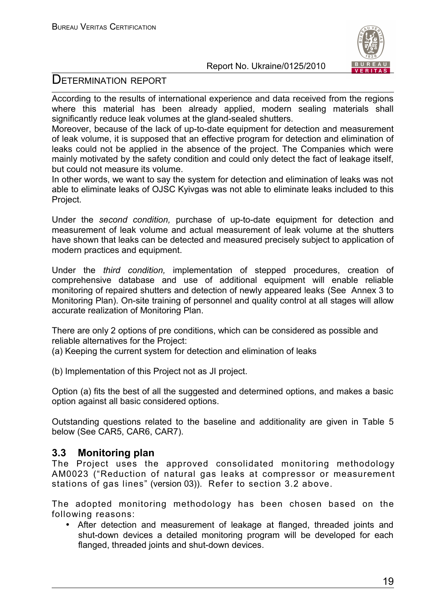

# DETERMINATION REPORT

According to the results of international experience and data received from the regions where this material has been already applied, modern sealing materials shall significantly reduce leak volumes at the gland-sealed shutters.

Moreover, because of the lack of up-to-date equipment for detection and measurement of leak volume, it is supposed that an effective program for detection and elimination of leaks could not be applied in the absence of the project. The Companies which were mainly motivated by the safety condition and could only detect the fact of leakage itself, but could not measure its volume.

In other words, we want to say the system for detection and elimination of leaks was not able to eliminate leaks of OJSC Kyivgas was not able to eliminate leaks included to this Project.

Under the *second condition,* purchase of up-to-date equipment for detection and measurement of leak volume and actual measurement of leak volume at the shutters have shown that leaks can be detected and measured precisely subject to application of modern practices and equipment.

Under the *third condition,* implementation of stepped procedures, creation of comprehensive database and use of additional equipment will enable reliable monitoring of repaired shutters and detection of newly appeared leaks (See Annex 3 to Monitoring Plan). On-site training of personnel and quality control at all stages will allow accurate realization of Monitoring Plan.

There are only 2 options of pre conditions, which can be considered as possible and reliable alternatives for the Project:

(a) Keeping the current system for detection and elimination of leaks

(b) Implementation of this Project not as JI project.

Option (a) fits the best of all the suggested and determined options, and makes a basic option against all basic considered options.

Outstanding questions related to the baseline and additionality are given in Table 5 below (See CAR5, CAR6, CAR7).

# **3.3 Monitoring plan**

The Project uses the approved consolidated monitoring methodology AM0023 ("Reduction of natural gas leaks at compressor or measurement stations of gas lines" (version 03)). Refer to section 3.2 above.

The adopted monitoring methodology has been chosen based on the following reasons:

• After detection and measurement of leakage at flanged, threaded joints and shut-down devices a detailed monitoring program will be developed for each flanged, threaded joints and shut-down devices.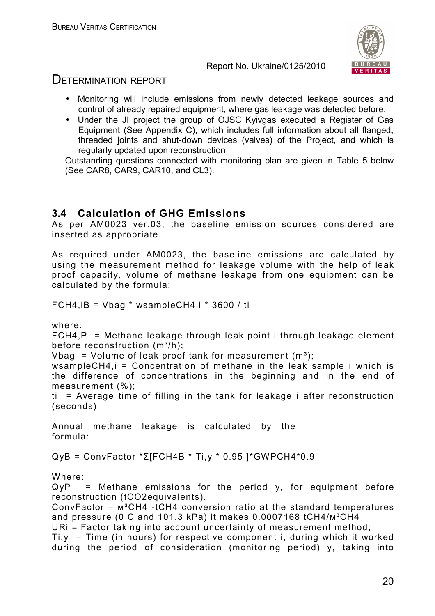



# DETERMINATION REPORT

- Monitoring will include emissions from newly detected leakage sources and control of already repaired equipment, where gas leakage was detected before.
- Under the JI project the group of OJSC Kyivgas executed a Register of Gas Equipment (See Appendix C), which includes full information about all flanged, threaded joints and shut-down devices (valves) of the Project, and which is regularly updated upon reconstruction

Outstanding questions connected with monitoring plan are given in Table 5 below (See CAR8, CAR9, CAR10, and CL3).

# **3.4 Calculation of GHG Emissions**

As per AM0023 ver.03, the baseline emission sources considered are inserted as appropriate.

As required under AM0023, the baseline emissions are calculated by using the measurement method for leakage volume with the help of leak proof capacity, volume of methane leakage from one equipment can be calculated by the formula:

FCH4, $iB = Vbaq * wsampleCH4$ , $i * 3600 / ti$ 

where:

 $FCH4, P = Methane$  leakage through leak point i through leakage element before reconstruction  $(m^3/h)$ ;

Vbag = Volume of leak proof tank for measurement  $(m<sup>3</sup>)$ :

wsampleCH4,i = Concentration of methane in the leak sample i which is the difference of concentrations in the beginning and in the end of measurement (%);

ti = Average time of filling in the tank for leakage i after reconstruction (seconds)

Annual methane leakage is calculated by the formula:

QуВ = ConvFactor \*Σ[FСН4В \* Ti,y \* 0.95 ]\*GWPСН4\*0.9

Where:

 $QyP =$  Methane emissions for the period y, for equipment before reconstruction (tCO2equivalents).

ConvFactor =  $M^3CH4$  -tCH4 conversion ratio at the standard temperatures and pressure (0 C and 101.3 kPa) it makes 0.0007168  $tCH4/m^3CH4$ 

URi = Factor taking into account uncertainty of measurement method;

 $Ti, y = Time$  (in hours) for respective component i, during which it worked during the period of consideration (monitoring period) y, taking into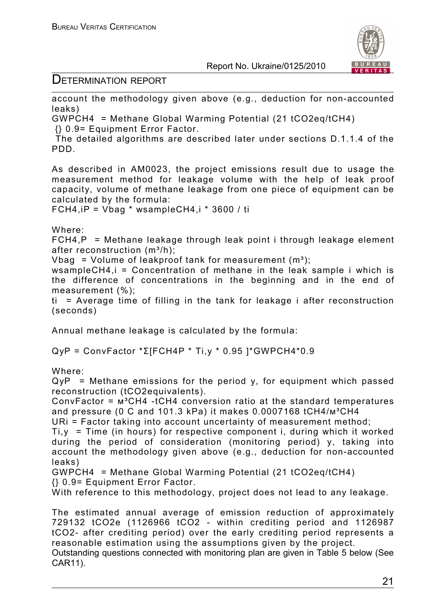



# DETERMINATION REPORT

account the methodology given above (e.g., deduction for non-accounted leaks)

GWPCH4 = Methane Global Warming Potential (21 tCO2eq/tCH4) {} 0.9= Equipment Error Factor.

 The detailed algorithms are described later under sections D.1.1.4 of the PDD.

As described in AM0023, the project emissions result due to usage the measurement method for leakage volume with the help of leak proof capacity, volume of methane leakage from one piece of equipment can be calculated by the formula:

FCH4, iP = Vbag  $*$  wsampleCH4, i  $*$  3600 / ti

Where:

 $FCH4, P = Methane$  leakage through leak point i through leakage element after reconstruction  $(m^3/h)$ :

Vbag = Volume of leakproof tank for measurement  $(m^3)$ ;

wsampleCH4,i = Concentration of methane in the leak sample i which is the difference of concentrations in the beginning and in the end of measurement (%);

ti = Average time of filling in the tank for leakage i after reconstruction (seconds)

Annual methane leakage is calculated by the formula:

QуР = ConvFactor \*Σ[FСН4Р \* Ti,y \* 0.95 ]\*GWPСН4\*0.9

Where:

 $QyP =$  Methane emissions for the period y, for equipment which passed reconstruction (tCO2equivalents).

ConvFactor =  $M^3CH4$  -tCH4 conversion ratio at the standard temperatures and pressure (0 C and 101.3 kPa) it makes  $0.0007168$  tCH4/ $m^3CH4$ 

URi = Factor taking into account uncertainty of measurement method;

 $Ti, y = Time$  (in hours) for respective component i, during which it worked during the period of consideration (monitoring period) y, taking into account the methodology given above (e.g., deduction for non-accounted leaks)

GWPCH4 = Methane Global Warming Potential (21 tCO2eq/tCH4) {} 0.9= Equipment Error Factor.

With reference to this methodology, project does not lead to any leakage.

The estimated annual average of emission reduction of approximately 729132 tCO2e (1126966 tCO2 - within crediting period and 1126987 tCO2- after crediting period) over the early crediting period represents a reasonable estimation using the assumptions given by the project.

Outstanding questions connected with monitoring plan are given in Table 5 below (See CAR11).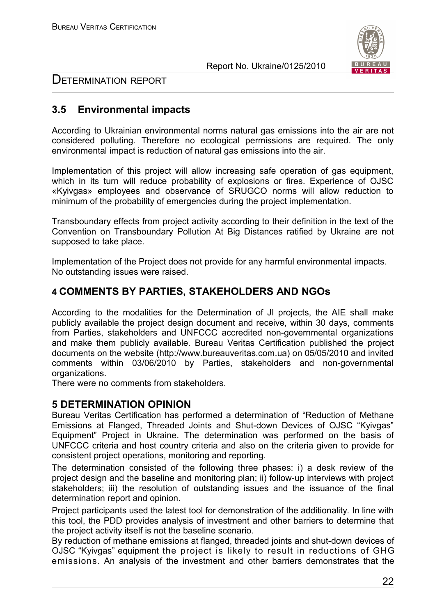

# DETERMINATION REPORT

# **3.5 Environmental impacts**

According to Ukrainian environmental norms natural gas emissions into the air are not considered polluting. Therefore no ecological permissions are required. The only environmental impact is reduction of natural gas emissions into the air.

Implementation of this project will allow increasing safe operation of gas equipment, which in its turn will reduce probability of explosions or fires. Experience of OJSC «Kyivgas» employees and observance of SRUGCO norms will allow reduction to minimum of the probability of emergencies during the project implementation.

Transboundary effects from project activity according to their definition in the text of the Convention on Transboundary Pollution At Big Distances ratified by Ukraine are not supposed to take place.

Implementation of the Project does not provide for any harmful environmental impacts. No outstanding issues were raised.

# **4 COMMENTS BY PARTIES, STAKEHOLDERS AND NGOs**

According to the modalities for the Determination of JI projects, the AIE shall make publicly available the project design document and receive, within 30 days, comments from Parties, stakeholders and UNFCCC accredited non-governmental organizations and make them publicly available. Bureau Veritas Certification published the project documents on the website (http://www.bureauveritas.com.ua) on 05/05/2010 and invited comments within 03/06/2010 by Parties, stakeholders and non-governmental organizations.

There were no comments from stakeholders.

### **5 DETERMINATION OPINION**

Bureau Veritas Certification has performed a determination of "Reduction of Methane Emissions at Flanged, Threaded Joints and Shut-down Devices of OJSC "Kyivgas" Equipment" Project in Ukraine. The determination was performed on the basis of UNFCCC criteria and host country criteria and also on the criteria given to provide for consistent project operations, monitoring and reporting.

The determination consisted of the following three phases: i) a desk review of the project design and the baseline and monitoring plan; ii) follow-up interviews with project stakeholders; iii) the resolution of outstanding issues and the issuance of the final determination report and opinion.

Project participants used the latest tool for demonstration of the additionality. In line with this tool, the PDD provides analysis of investment and other barriers to determine that the project activity itself is not the baseline scenario.

By reduction of methane emissions at flanged, threaded joints and shut-down devices of OJSC "Kyivgas" equipment the project is likely to result in reductions of GHG emissions. An analysis of the investment and other barriers demonstrates that the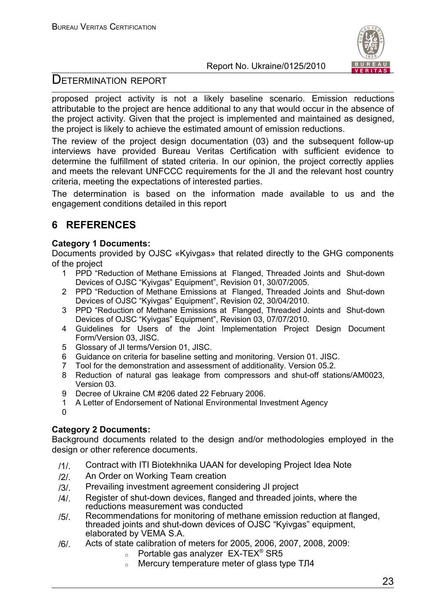



# DETERMINATION REPORT

proposed project activity is not a likely baseline scenario. Emission reductions attributable to the project are hence additional to any that would occur in the absence of the project activity. Given that the project is implemented and maintained as designed, the project is likely to achieve the estimated amount of emission reductions.

The review of the project design documentation (03) and the subsequent follow-up interviews have provided Bureau Veritas Certification with sufficient evidence to determine the fulfillment of stated criteria. In our opinion, the project correctly applies and meets the relevant UNFCCC requirements for the JI and the relevant host country criteria, meeting the expectations of interested parties.

The determination is based on the information made available to us and the engagement conditions detailed in this report

# **6 REFERENCES**

#### **Category 1 Documents:**

Documents provided by OJSC «Kyivgas» that related directly to the GHG components of the project

- 1 PPD "Reduction of Methane Emissions at Flanged, Threaded Joints and Shut-down Devices of OJSC "Kyivgas" Equipment", Revision 01, 30/07/2005.
- 2 PPD "Reduction of Methane Emissions at Flanged, Threaded Joints and Shut-down Devices of OJSC "Kyivgas" Equipment", Revision 02, 30/04/2010.
- 3 PPD "Reduction of Methane Emissions at Flanged, Threaded Joints and Shut-down Devices of OJSC "Kyivgas" Equipment", Revision 03, 07/07/2010.
- 4 Guidelines for Users of the Joint Implementation Project Design Document Form/Version 03, JISC.
- 5 Glossary of JI terms/Version 01, JISC.
- 6 Guidance on criteria for baseline setting and monitoring. Version 01. JISC.
- 7 Tool for the demonstration and assessment of additionality. Version 05.2.
- 8 Reduction of natural gas leakage from compressors and shut-off stations/AM0023, Version 03.
- 9 Decree of Ukraine CM #206 dated 22 February 2006.
- 1 A Letter of Endorsement of National Environmental Investment Agency
- $\Omega$

### **Category 2 Documents:**

Background documents related to the design and/or methodologies employed in the design or other reference documents.

- /1/. Contract with ITI Biotekhnika UAAN for developing Project Idea Note
- /2/. An Order on Working Team creation
- /3/. Prevailing investment agreement considering JI project
- /4/. Register of shut-down devices, flanged and threaded joints, where the reductions measurement was conducted
- /5/. Recommendations for monitoring of methane emission reduction at flanged, threaded joints and shut-down devices of OJSC "Kyivgas" equipment, elaborated by VEMA S.A.
- /6/. Acts of state calibration of meters for 2005, 2006, 2007, 2008, 2009:
	- $\circ$  Portable gas analyzer EX-TEX<sup>®</sup> SR5
	- <sup>o</sup> Mercury temperature meter of glass type ТЛ4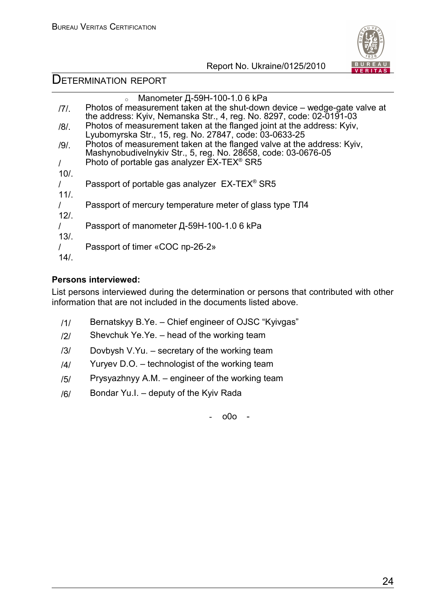

# DETERMINATION REPORT

|          | Manometer $\mu$ -59H-100-1.0 6 kPa                                        |
|----------|---------------------------------------------------------------------------|
| 171.     | Photos of measurement taken at the shut-down device – wedge-gate valve at |
|          | the address: Kyiv, Nemanska Str., 4, reg. No. 8297, code: 02-0191-03      |
| $/8/$ .  | Photos of measurement taken at the flanged joint at the address: Kyiv,    |
|          | Lyubomyrska Str., 15, reg. No. 27847, code: 03-0633-25                    |
| $/9/$ .  | Photos of measurement taken at the flanged valve at the address: Kyiv,    |
|          | Mashynobudivelnykiv Str., 5, reg. No. 28658, code: 03-0676-05             |
| $\prime$ | Photo of portable gas analyzer EX-TEX <sup>®</sup> SR5                    |
| 10/      |                                                                           |
|          | Passport of portable gas analyzer EX-TEX <sup>®</sup> SR5                 |
| $11/$ .  |                                                                           |
|          | Passport of mercury temperature meter of glass type TJ14                  |
| $12/$ .  |                                                                           |
|          | Passport of manometer Д-59Н-100-1.0 6 kPa                                 |
| 13/      |                                                                           |
|          | Passport of timer «COC np-26-2»                                           |
|          |                                                                           |
| 14/      |                                                                           |

# **Persons interviewed:**

List persons interviewed during the determination or persons that contributed with other information that are not included in the documents listed above.

- /1/ Bernatskyy B.Ye. Chief engineer of OJSC "Kyivgas"
- $/2$  Shevchuk Ye.Ye. head of the working team
- /3/ Dovbysh V.Yu. secretary of the working team
- $/4$ / Yuryev D.O. technologist of the working team
- /5/ Prysyazhnyy А.М. engineer of the working team
- /6/ Bondar Yu.I. deputy of the Kyiv Rada

- o0o -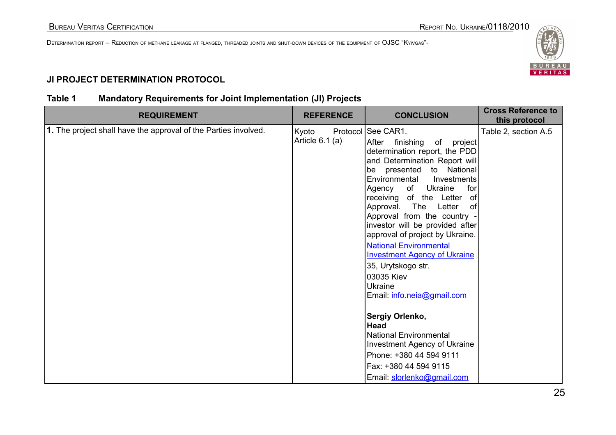

# **JI PROJECT DETERMINATION PROTOCOL**

# **Table 1 Mandatory Requirements for Joint Implementation (JI) Projects**

| <b>REQUIREMENT</b>                                              | <b>REFERENCE</b>         | <b>CONCLUSION</b>                                                                                                                                                                                                                                                                                                                                                                                                                                                                                                                  | <b>Cross Reference to</b><br>this protocol |
|-----------------------------------------------------------------|--------------------------|------------------------------------------------------------------------------------------------------------------------------------------------------------------------------------------------------------------------------------------------------------------------------------------------------------------------------------------------------------------------------------------------------------------------------------------------------------------------------------------------------------------------------------|--------------------------------------------|
| 1. The project shall have the approval of the Parties involved. | Kyoto<br>Article 6.1 (a) | Protocol   See CAR1.<br>After finishing of<br>project<br>determination report, the PDD<br>and Determination Report will<br>be presented to National<br>Environmental Investments<br>Agency of Ukraine<br>for<br>receiving of the Letter of<br>Approval. The Letter<br>0f<br>Approval from the country -<br>investor will be provided after<br>approval of project by Ukraine.<br><b>National Environmental</b><br><b>Investment Agency of Ukraine</b><br>35, Urytskogo str.<br>03035 Kiev<br>Ukraine<br>Email: info.neia@gmail.com | Table 2, section A.5                       |
|                                                                 |                          | Sergiy Orlenko,<br><b>Head</b><br><b>National Environmental</b><br>Investment Agency of Ukraine<br>Phone: +380 44 594 9111<br>Fax: +380 44 594 9115<br>Email: slorlenko@gmail.com                                                                                                                                                                                                                                                                                                                                                  |                                            |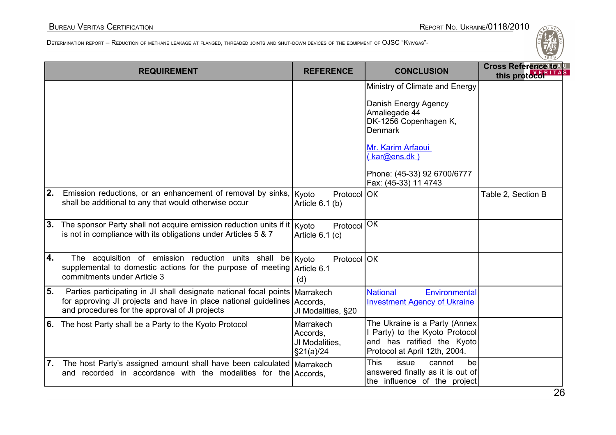|     | <b>REQUIREMENT</b>                                                                                                                                                                                          | <b>REFERENCE</b>                                      | <b>CONCLUSION</b>                                                                                                                                                                                              | ごってつ<br>Cross Reference to AU<br><b>ITAS</b><br>this protocol <sup>3</sup> |
|-----|-------------------------------------------------------------------------------------------------------------------------------------------------------------------------------------------------------------|-------------------------------------------------------|----------------------------------------------------------------------------------------------------------------------------------------------------------------------------------------------------------------|----------------------------------------------------------------------------|
|     |                                                                                                                                                                                                             |                                                       | Ministry of Climate and Energy<br>Danish Energy Agency<br>Amaliegade 44<br>DK-1256 Copenhagen K,<br><b>Denmark</b><br>Mr. Karim Arfaoui<br>(kar@ens.dk)<br>Phone: (45-33) 92 6700/6777<br>Fax: (45-33) 11 4743 |                                                                            |
| 2.  | Emission reductions, or an enhancement of removal by sinks,<br>shall be additional to any that would otherwise occur                                                                                        | Protocol OK<br>Kyoto<br>Article $6.1$ (b)             |                                                                                                                                                                                                                | Table 2, Section B                                                         |
| 3.  | The sponsor Party shall not acquire emission reduction units if it $ K$ yoto<br>is not in compliance with its obligations under Articles 5 & 7                                                              | Protocol OK<br>Article 6.1 (c)                        |                                                                                                                                                                                                                |                                                                            |
| l4. | The acquisition of emission reduction units shall<br>supplemental to domestic actions for the purpose of meeting Article 6.1<br>commitments under Article 3                                                 | be   Kyoto<br>Protocol OK<br>(d)                      |                                                                                                                                                                                                                |                                                                            |
| 55. | Parties participating in JI shall designate national focal points   Marrakech<br>for approving JI projects and have in place national guidelines Accords,<br>and procedures for the approval of JI projects | JI Modalities, §20                                    | <b>National</b><br>Environmental<br><b>Investment Agency of Ukraine</b>                                                                                                                                        |                                                                            |
|     | 6. The host Party shall be a Party to the Kyoto Protocol                                                                                                                                                    | Marrakech<br>Accords,<br>JI Modalities,<br>\$21(a)/24 | The Ukraine is a Party (Annex<br>I Party) to the Kyoto Protocol<br>and has ratified the Kyoto<br>Protocol at April 12th, 2004.                                                                                 |                                                                            |
| 7.  | The host Party's assigned amount shall have been calculated Marrakech<br>and recorded in accordance with the modalities for the Accords.                                                                    |                                                       | <b>This</b><br>issue<br>cannot<br>be<br>answered finally as it is out of<br>the influence of the project                                                                                                       | $\sim$                                                                     |

26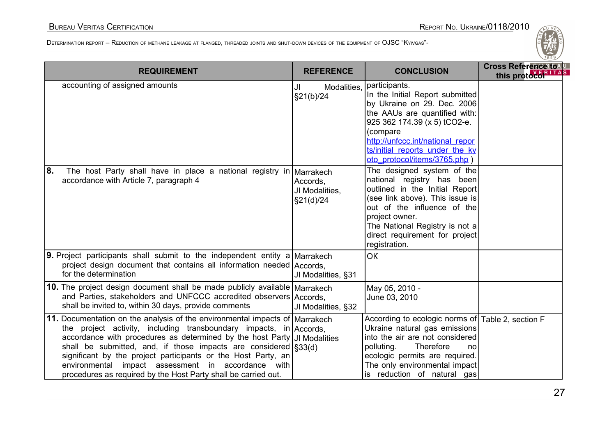| <b>REQUIREMENT</b>                                                                                                                                                                                                                                                                                                                                                                                                                                                                                    | <b>REFERENCE</b>                                     | <b>CONCLUSION</b>                                                                                                                                                                                                                                                   | Cross Reference to 4U<br>this protoco <sup>k</sup> |
|-------------------------------------------------------------------------------------------------------------------------------------------------------------------------------------------------------------------------------------------------------------------------------------------------------------------------------------------------------------------------------------------------------------------------------------------------------------------------------------------------------|------------------------------------------------------|---------------------------------------------------------------------------------------------------------------------------------------------------------------------------------------------------------------------------------------------------------------------|----------------------------------------------------|
| accounting of assigned amounts                                                                                                                                                                                                                                                                                                                                                                                                                                                                        | Modalities,<br>JI<br>\$21(b)/24                      | participants.<br>In the Initial Report submitted<br>by Ukraine on 29. Dec. 2006<br>the AAUs are quantified with:<br>925 362 174.39 (x 5) tCO2-e.<br>(compare<br>http://unfccc.int/national repor<br>ts/initial reports under the ky<br>oto protocol/items/3765.php) |                                                    |
| 8.<br>The host Party shall have in place a national registry in<br>accordance with Article 7, paragraph 4                                                                                                                                                                                                                                                                                                                                                                                             | Marrakech<br>Accords,<br>JI Modalities,<br>§21(d)/24 | The designed system of the<br>national registry has been<br>outlined in the Initial Report<br>(see link above). This issue is<br>out of the influence of the<br>project owner.<br>The National Registry is not a<br>direct requirement for project<br>registration. |                                                    |
| <b>9.</b> Project participants shall submit to the independent entity a Marrakech<br>project design document that contains all information needed Accords,<br>for the determination                                                                                                                                                                                                                                                                                                                   | JI Modalities, §31                                   | <b>OK</b>                                                                                                                                                                                                                                                           |                                                    |
| 10. The project design document shall be made publicly available Marrakech<br>and Parties, stakeholders and UNFCCC accredited observers Accords,<br>shall be invited to, within 30 days, provide comments                                                                                                                                                                                                                                                                                             | JI Modalities, §32                                   | May 05, 2010 -<br>June 03, 2010                                                                                                                                                                                                                                     |                                                    |
| 11. Documentation on the analysis of the environmental impacts of Marrakech<br>the project activity, including transboundary impacts, in Accords,<br>accordance with procedures as determined by the host Party JJ Modalities<br>shall be submitted, and, if those impacts are considered $\frac{1}{3}$ 3(d)<br>significant by the project participants or the Host Party, an<br>environmental impact assessment in accordance with<br>procedures as required by the Host Party shall be carried out. |                                                      | According to ecologic norms of   Table 2, section F<br>Ukraine natural gas emissions<br>into the air are not considered<br>polluting.<br>Therefore<br>no<br>ecologic permits are required.<br>The only environmental impact<br>is reduction of natural gas          |                                                    |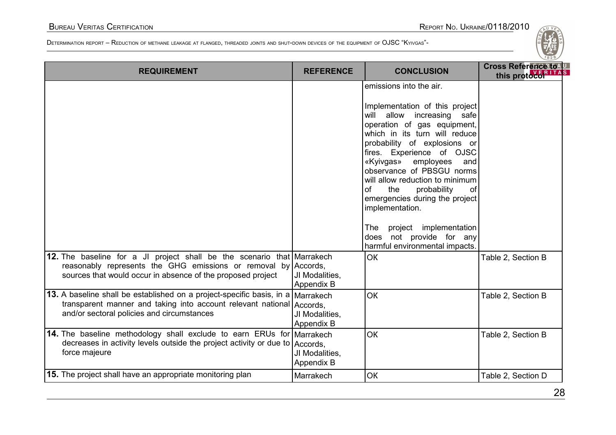| <b>REQUIREMENT</b>                                                                                                                                                                                      | <b>REFERENCE</b>                          | <b>CONCLUSION</b>                                                                                                                                                                                                                                                                                                                                                                                                                                                                                               | <b>Cross Reference to 4U</b><br>this protocol RITAS |
|---------------------------------------------------------------------------------------------------------------------------------------------------------------------------------------------------------|-------------------------------------------|-----------------------------------------------------------------------------------------------------------------------------------------------------------------------------------------------------------------------------------------------------------------------------------------------------------------------------------------------------------------------------------------------------------------------------------------------------------------------------------------------------------------|-----------------------------------------------------|
|                                                                                                                                                                                                         |                                           | emissions into the air.<br>Implementation of this project<br>will allow increasing safe<br>operation of gas equipment,<br>which in its turn will reduce<br>probability of explosions or<br>fires. Experience of OJSC<br>«Kyivgas» employees<br>and<br>observance of PBSGU norms<br>will allow reduction to minimum<br>of<br>the<br>probability<br>of<br>emergencies during the project<br>implementation.<br>project implementation<br><b>The</b><br>does not provide for any<br>harmful environmental impacts. |                                                     |
| 12. The baseline for a JI project shall be the scenario that Marrakech<br>reasonably represents the GHG emissions or removal by Accords,<br>sources that would occur in absence of the proposed project | JI Modalities,<br>Appendix B              | <b>OK</b>                                                                                                                                                                                                                                                                                                                                                                                                                                                                                                       | Table 2, Section B                                  |
| 13. A baseline shall be established on a project-specific basis, in a<br>transparent manner and taking into account relevant national Accords,<br>and/or sectoral policies and circumstances            | Marrakech<br>JI Modalities,<br>Appendix B | OK                                                                                                                                                                                                                                                                                                                                                                                                                                                                                                              | Table 2, Section B                                  |
| <b>14.</b> The baseline methodology shall exclude to earn ERUs for Marrakech<br>decreases in activity levels outside the project activity or due to<br>force majeure                                    | Accords,<br>JI Modalities,<br>Appendix B  | <b>OK</b>                                                                                                                                                                                                                                                                                                                                                                                                                                                                                                       | Table 2, Section B                                  |
| 15. The project shall have an appropriate monitoring plan                                                                                                                                               | Marrakech                                 | <b>OK</b>                                                                                                                                                                                                                                                                                                                                                                                                                                                                                                       | Table 2, Section D                                  |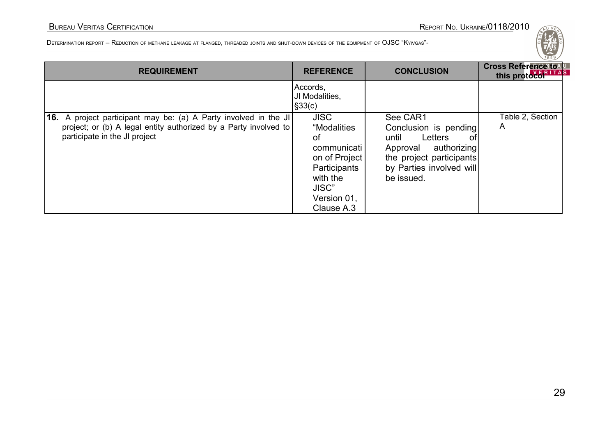| <b>REQUIREMENT</b>                                                                                                                                                    | <b>REFERENCE</b>                                                                                                                   | <b>CONCLUSION</b>                                                                                                                                          | ご。~<br>Cross Reference to U<br>this protoco <sup>RITAS</sup> |
|-----------------------------------------------------------------------------------------------------------------------------------------------------------------------|------------------------------------------------------------------------------------------------------------------------------------|------------------------------------------------------------------------------------------------------------------------------------------------------------|--------------------------------------------------------------|
|                                                                                                                                                                       | Accords,<br>JI Modalities,<br>$\vert$ §33(c)                                                                                       |                                                                                                                                                            |                                                              |
| 16. A project participant may be: (a) A Party involved in the JI<br>project; or (b) A legal entity authorized by a Party involved to<br>participate in the JI project | <b>JISC</b><br>"Modalities<br>0f<br>communicati<br>on of Project<br>Participants<br>with the<br>JISC"<br>Version 01,<br>Clause A.3 | See CAR1<br>Conclusion is pending<br>Letters<br>until<br>.ot<br>Approval authorizing<br>the project participants<br>by Parties involved will<br>be issued. | Table 2, Section<br>A                                        |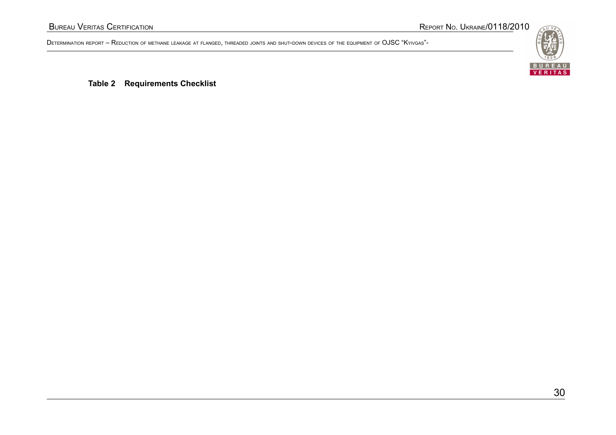

**Table 2 Requirements Checklist**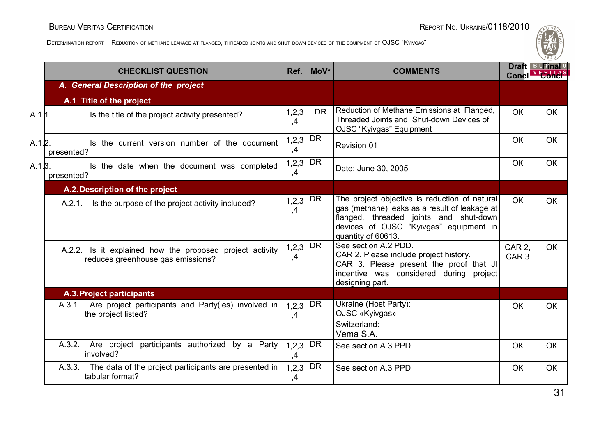#### BUREAU VERITAS CERTIFICATION REPORT NO. UKRAINE/0118/2010

|         | <b>CHECKLIST QUESTION</b>                                                                     | Ref.                          | MoV*            | <b>COMMENTS</b>                                                                                                                                                                                          | <b>Concl</b>               | Draft Furinal |
|---------|-----------------------------------------------------------------------------------------------|-------------------------------|-----------------|----------------------------------------------------------------------------------------------------------------------------------------------------------------------------------------------------------|----------------------------|---------------|
|         | A. General Description of the project                                                         |                               |                 |                                                                                                                                                                                                          |                            |               |
|         | A.1 Title of the project                                                                      |                               |                 |                                                                                                                                                                                                          |                            |               |
| A.1.11. | Is the title of the project activity presented?                                               | 1, 2, 3<br>,4                 | <b>DR</b>       | Reduction of Methane Emissions at Flanged,<br>Threaded Joints and Shut-down Devices of<br>OJSC "Kyivgas" Equipment                                                                                       | <b>OK</b>                  | <b>OK</b>     |
| A.1.2.  | Is the current version number of the document<br>presented?                                   | 1,2,3<br>,4                   | DR <sup>1</sup> | Revision 01                                                                                                                                                                                              | OK                         | OK            |
| A.1.3.  | Is the date when the document was completed<br>presented?                                     | $1,2,3$ DR<br>,4              |                 | Date: June 30, 2005                                                                                                                                                                                      | OK                         | <b>OK</b>     |
|         | A.2. Description of the project                                                               |                               |                 |                                                                                                                                                                                                          |                            |               |
|         | A.2.1. Is the purpose of the project activity included?                                       | 1, 2, 3<br>,4                 | DR              | The project objective is reduction of natural<br>gas (methane) leaks as a result of leakage at<br>flanged, threaded joints and shut-down<br>devices of OJSC "Kyivgas" equipment in<br>quantity of 60613. | <b>OK</b>                  | <b>OK</b>     |
|         | A.2.2. Is it explained how the proposed project activity<br>reduces greenhouse gas emissions? | $1,2,3   \overline{DR}$<br>,4 |                 | See section A.2 PDD.<br>CAR 2. Please include project history.<br>CAR 3. Please present the proof that JI<br>incentive was considered during project<br>designing part.                                  | CAR 2.<br>CAR <sub>3</sub> | <b>OK</b>     |
|         | A.3. Project participants                                                                     |                               |                 |                                                                                                                                                                                                          |                            |               |
|         | A.3.1. Are project participants and Party(ies) involved in<br>the project listed?             | $1,2,3$ DR<br>,4              |                 | Ukraine (Host Party):<br>OJSC «Kyivgas»<br>Switzerland:<br>Vema S.A.                                                                                                                                     | OK                         | <b>OK</b>     |
|         | A.3.2. Are project participants authorized by a Party<br>involved?                            | 1, 2, 3<br>,4                 | DR              | See section A.3 PPD                                                                                                                                                                                      | <b>OK</b>                  | <b>OK</b>     |
|         | A.3.3. The data of the project participants are presented in<br>tabular format?               | 1, 2, 3<br>,4                 | DR              | See section A.3 PPD                                                                                                                                                                                      | OK                         | <b>OK</b>     |
|         |                                                                                               |                               |                 |                                                                                                                                                                                                          |                            | $\mathcal{L}$ |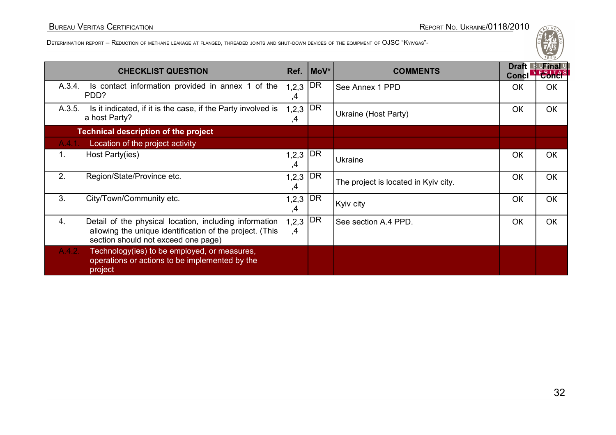|        | <b>CHECKLIST QUESTION</b>                                                                                                                                 | Ref.          | MoV*      | <b>COMMENTS</b>                      | Draft L<br><b>Concl</b> | <sup>B U</sup> Final U<br><b>EBITAS</b> |
|--------|-----------------------------------------------------------------------------------------------------------------------------------------------------------|---------------|-----------|--------------------------------------|-------------------------|-----------------------------------------|
| A.3.4. | Is contact information provided in annex 1 of the<br>PDD?                                                                                                 | 1, 2, 3<br>,4 | <b>DR</b> | See Annex 1 PPD                      | <b>OK</b>               | <b>OK</b>                               |
| A.3.5. | Is it indicated, if it is the case, if the Party involved is<br>a host Party?                                                                             | 1,2,3<br>,4   | DR        | Ukraine (Host Party)                 | OK                      | ОК                                      |
|        | <b>Technical description of the project</b>                                                                                                               |               |           |                                      |                         |                                         |
| A.4.1. | Location of the project activity                                                                                                                          |               |           |                                      |                         |                                         |
| 1.     | Host Party(ies)                                                                                                                                           | 1,2,3<br>,4   | DR        | Ukraine                              | OK                      | OK                                      |
| 2.     | Region/State/Province etc.                                                                                                                                | 1, 2, 3<br>,4 | DR        | The project is located in Kyiv city. | OK                      | OK                                      |
| 3.     | City/Town/Community etc.                                                                                                                                  | 1, 2, 3<br>,4 | DR        | Kyiv city                            | OK                      | <b>OK</b>                               |
| 4.     | Detail of the physical location, including information<br>allowing the unique identification of the project. (This<br>section should not exceed one page) | 1, 2, 3<br>,4 | DR        | See section A.4 PPD.                 | OK                      | OK                                      |
| A.4.2. | Technology(ies) to be employed, or measures,<br>operations or actions to be implemented by the<br>project                                                 |               |           |                                      |                         |                                         |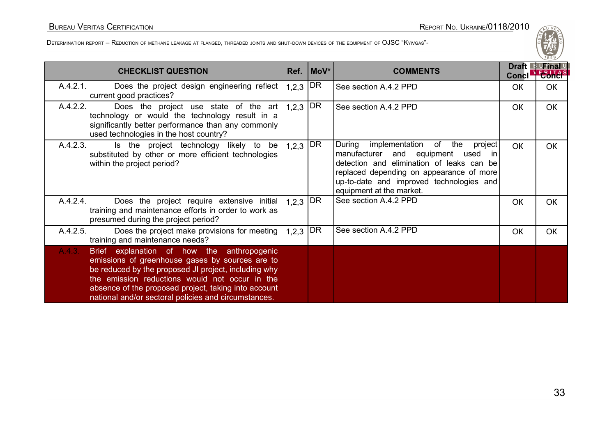| <b>CHECKLIST QUESTION</b>                                                                                                                                                                                                                                                                                                         | Ref.       | MoV*      | <b>COMMENTS</b>                                                                                                                                                                                                                                          | <b>Concl</b> | Draft <sup>1</sup> Final U |
|-----------------------------------------------------------------------------------------------------------------------------------------------------------------------------------------------------------------------------------------------------------------------------------------------------------------------------------|------------|-----------|----------------------------------------------------------------------------------------------------------------------------------------------------------------------------------------------------------------------------------------------------------|--------------|----------------------------|
| A.4.2.1.<br>Does the project design engineering reflect<br>current good practices?                                                                                                                                                                                                                                                | $1,2,3$ DR |           | See section A.4.2 PPD                                                                                                                                                                                                                                    | <b>OK</b>    | <b>OK</b>                  |
| A.4.2.2.<br>Does the project use state of the art<br>technology or would the technology result in a<br>significantly better performance than any commonly<br>used technologies in the host country?                                                                                                                               | $1,2,3$ DR |           | See section A.4.2 PPD                                                                                                                                                                                                                                    | OK           | <b>OK</b>                  |
| A.4.2.3.<br>Is the project technology likely to be<br>substituted by other or more efficient technologies<br>within the project period?                                                                                                                                                                                           | $1,2,3$ DR |           | implementation of the<br>During<br>project<br>manufacturer and equipment<br>used<br>-in<br>detection and elimination of leaks can be<br>replaced depending on appearance of more<br>up-to-date and improved technologies and<br>equipment at the market. | <b>OK</b>    | <b>OK</b>                  |
| A.4.2.4.<br>Does the project require extensive initial<br>training and maintenance efforts in order to work as<br>presumed during the project period?                                                                                                                                                                             | 1, 2, 3    | <b>DR</b> | See section A.4.2 PPD                                                                                                                                                                                                                                    | <b>OK</b>    | <b>OK</b>                  |
| A.4.2.5.<br>Does the project make provisions for meeting<br>training and maintenance needs?                                                                                                                                                                                                                                       | 1, 2, 3    | DR        | See section A.4.2 PPD                                                                                                                                                                                                                                    | OK           | OK                         |
| A.4.3.<br>Brief explanation of how the anthropogenic<br>emissions of greenhouse gases by sources are to<br>be reduced by the proposed JI project, including why<br>the emission reductions would not occur in the<br>absence of the proposed project, taking into account<br>national and/or sectoral policies and circumstances. |            |           |                                                                                                                                                                                                                                                          |              |                            |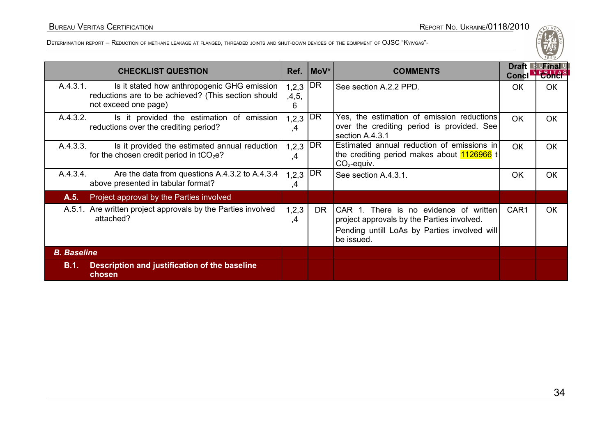|                    | <b>CHECKLIST QUESTION</b>                                                                                                  |                          | $Ref. \mid MoV^*$ | <b>COMMENTS</b>                                                                                                                                    | <b>Draft</b><br>Concl' | <u> B UFinal L</u><br>E R.I.T.A. |
|--------------------|----------------------------------------------------------------------------------------------------------------------------|--------------------------|-------------------|----------------------------------------------------------------------------------------------------------------------------------------------------|------------------------|----------------------------------|
| A.4.3.1.           | Is it stated how anthropogenic GHG emission<br>reductions are to be achieved? (This section should<br>not exceed one page) | $1,2,3$ DR<br>,4,5,<br>6 |                   | See section A.2.2 PPD.                                                                                                                             | <b>OK</b>              | <b>OK</b>                        |
| A.4.3.2.           | Is it provided the estimation of emission<br>reductions over the crediting period?                                         | 1,2,3<br>,4              | DR                | Yes, the estimation of emission reductions<br>over the crediting period is provided. See<br>section A.4.3.1                                        | <b>OK</b>              | <b>OK</b>                        |
| A.4.3.3.           | Is it provided the estimated annual reduction<br>for the chosen credit period in $tCO2e$ ?                                 | 1, 2, 3<br>,4            | DR                | Estimated annual reduction of emissions in<br>the crediting period makes about 1126966 t<br>$CO2$ -equiv.                                          | <b>OK</b>              | OK                               |
| A.4.3.4.           | Are the data from questions A.4.3.2 to A.4.3.4<br>above presented in tabular format?                                       | 1, 2, 3<br>,4            | DR                | See section A.4.3.1.                                                                                                                               | <b>OK</b>              | <b>OK</b>                        |
| A.5.               | Project approval by the Parties involved                                                                                   |                          |                   |                                                                                                                                                    |                        |                                  |
|                    | A.5.1. Are written project approvals by the Parties involved<br>attached?                                                  | 1,2,3<br>,4              | DR.               | CAR 1. There is no evidence of written<br>project approvals by the Parties involved.<br>Pending untill LoAs by Parties involved will<br>be issued. | CAR1                   | OK                               |
| <b>B.</b> Baseline |                                                                                                                            |                          |                   |                                                                                                                                                    |                        |                                  |
| B.1.               | Description and justification of the baseline<br>chosen                                                                    |                          |                   |                                                                                                                                                    |                        |                                  |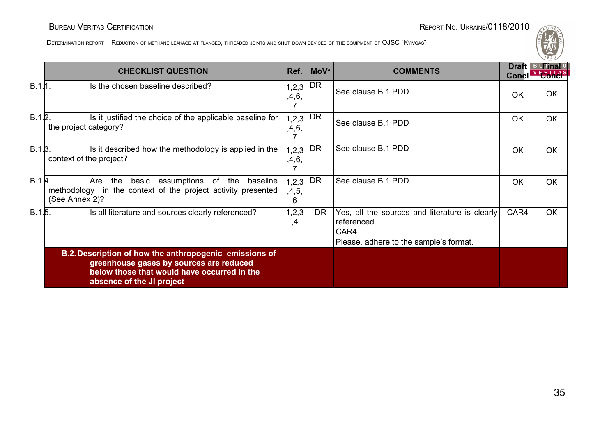|              |                                                                                                                                                                               |                          |      |                                                                                                                |                       | 1828                                |
|--------------|-------------------------------------------------------------------------------------------------------------------------------------------------------------------------------|--------------------------|------|----------------------------------------------------------------------------------------------------------------|-----------------------|-------------------------------------|
|              | <b>CHECKLIST QUESTION</b>                                                                                                                                                     | Ref.                     | MoV* | <b>COMMENTS</b>                                                                                                | <b>Draft</b><br>Concl | <u> 『 UFinal L</u><br><b>E-BLTA</b> |
| $B.1.11$ .   | Is the chosen baseline described?                                                                                                                                             | $1,2,3$ DR<br>,4,6,      |      | See clause B.1 PDD.                                                                                            | <b>OK</b>             | <b>OK</b>                           |
| B.1.2.       | Is it justified the choice of the applicable baseline for<br>the project category?                                                                                            | $1,2,3$ DR<br>,4,6,      |      | See clause B.1 PDD                                                                                             | OK.                   | <b>OK</b>                           |
| $B.1.\beta.$ | Is it described how the methodology is applied in the<br>context of the project?                                                                                              | 1,2,3<br>,4,6,           | DR   | See clause B.1 PDD                                                                                             | <b>OK</b>             | <b>OK</b>                           |
| B.1.4.       | Are the<br>basic assumptions of the baseline<br>methodology in the context of the project activity presented<br>(See Annex 2)?                                                | $1,2,3$ DR<br>,4,5,<br>6 |      | See clause B.1 PDD                                                                                             | <b>OK</b>             | <b>OK</b>                           |
| B.1.5.       | Is all literature and sources clearly referenced?                                                                                                                             | 1,2,3<br>,4              | DR.  | Yes, all the sources and literature is clearly<br>referenced<br>CAR4<br>Please, adhere to the sample's format. | CAR4                  | <b>OK</b>                           |
|              | B.2. Description of how the anthropogenic emissions of<br>greenhouse gases by sources are reduced<br>below those that would have occurred in the<br>absence of the JI project |                          |      |                                                                                                                |                       |                                     |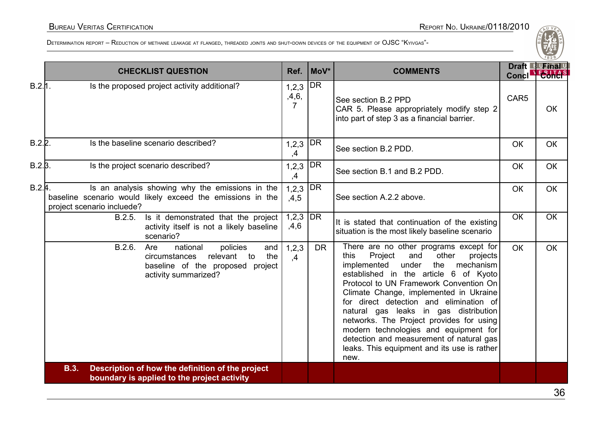|              | <b>CHECKLIST QUESTION</b>                                                                                                                          | Ref.                               | MoV*      | <b>COMMENTS</b>                                                                                                                                                                                                                                                                                                                                                                                                                                                                                                                            |                  | Draft <sup>1</sup> Final U<br>Concl Eonch |
|--------------|----------------------------------------------------------------------------------------------------------------------------------------------------|------------------------------------|-----------|--------------------------------------------------------------------------------------------------------------------------------------------------------------------------------------------------------------------------------------------------------------------------------------------------------------------------------------------------------------------------------------------------------------------------------------------------------------------------------------------------------------------------------------------|------------------|-------------------------------------------|
| B.2.11.      | Is the proposed project activity additional?                                                                                                       | 1, 2, 3<br>,4,6,<br>$\overline{7}$ | <b>DR</b> | See section B.2 PPD<br>CAR 5. Please appropriately modify step 2<br>into part of step 3 as a financial barrier.                                                                                                                                                                                                                                                                                                                                                                                                                            | CAR <sub>5</sub> | <b>OK</b>                                 |
| B.2.2.       | Is the baseline scenario described?                                                                                                                | 1, 2, 3<br>,4                      | DR        | See section B.2 PDD.                                                                                                                                                                                                                                                                                                                                                                                                                                                                                                                       | OK               | <b>OK</b>                                 |
| $B.2.\beta.$ | Is the project scenario described?                                                                                                                 | 1, 2, 3<br>,4                      | <b>DR</b> | See section B.1 and B.2 PDD.                                                                                                                                                                                                                                                                                                                                                                                                                                                                                                               | <b>OK</b>        | <b>OK</b>                                 |
| B.2.4.       | Is an analysis showing why the emissions in the<br>baseline scenario would likely exceed the emissions in the<br>project scenario incluede?        | 1,2,3<br>,4,5                      | <b>DR</b> | See section A.2.2 above.                                                                                                                                                                                                                                                                                                                                                                                                                                                                                                                   | <b>OK</b>        | <b>OK</b>                                 |
|              | B.2.5.<br>Is it demonstrated that the project<br>activity itself is not a likely baseline<br>scenario?                                             | 1,2,3<br>,4,6                      | <b>DR</b> | It is stated that continuation of the existing<br>situation is the most likely baseline scenario                                                                                                                                                                                                                                                                                                                                                                                                                                           | OK               | <b>OK</b>                                 |
|              | B.2.6.<br>national<br>Are<br>policies<br>and<br>the<br>relevant<br>circumstances<br>to<br>baseline of the proposed project<br>activity summarized? | 1, 2, 3<br>$\mathcal{A}$           | <b>DR</b> | There are no other programs except for<br>Project<br>other<br>projects<br>this<br>and<br>implemented<br>under<br>mechanism<br>the<br>established in the article 6 of Kyoto<br>Protocol to UN Framework Convention On<br>Climate Change, implemented in Ukraine<br>for direct detection and elimination of<br>natural gas leaks in gas distribution<br>networks. The Project provides for using<br>modern technologies and equipment for<br>detection and measurement of natural gas<br>leaks. This equipment and its use is rather<br>new. | <b>OK</b>        | <b>OK</b>                                 |
|              | Description of how the definition of the project<br><b>B.3.</b><br>boundary is applied to the project activity                                     |                                    |           |                                                                                                                                                                                                                                                                                                                                                                                                                                                                                                                                            |                  |                                           |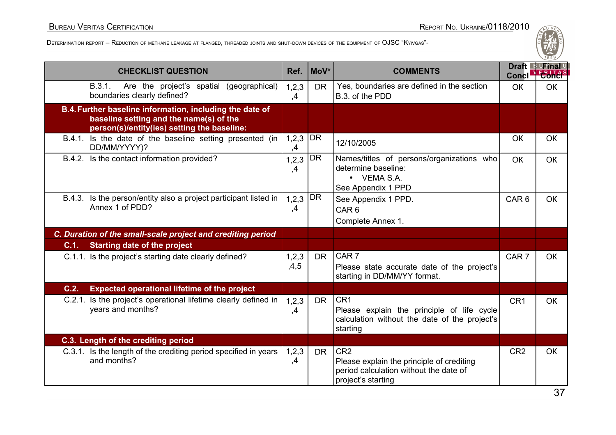| <b>CHECKLIST QUESTION</b>                                                                                                                          | Ref.          | MoV*           | <b>COMMENTS</b>                                                                                                              | Concl <sup>-</sup> | Draft Furinal |
|----------------------------------------------------------------------------------------------------------------------------------------------------|---------------|----------------|------------------------------------------------------------------------------------------------------------------------------|--------------------|---------------|
| B.3.1.<br>Are the project's spatial (geographical)<br>boundaries clearly defined?                                                                  | 1,2,3<br>,4   | <b>DR</b>      | Yes, boundaries are defined in the section<br>B.3. of the PDD                                                                | <b>OK</b>          | OК            |
| B.4. Further baseline information, including the date of<br>baseline setting and the name(s) of the<br>person(s)/entity(ies) setting the baseline: |               |                |                                                                                                                              |                    |               |
| B.4.1. Is the date of the baseline setting presented (in<br>DD/MM/YYYY)?                                                                           | 1,2,3<br>,4   | DR <sub></sub> | 12/10/2005                                                                                                                   | <b>OK</b>          | <b>OK</b>     |
| B.4.2. Is the contact information provided?                                                                                                        | 1,2,3<br>,4   | <b>DR</b>      | Names/titles of persons/organizations who<br>determine baseline:<br>• VEMA S.A.<br>See Appendix 1 PPD                        | OK                 | <b>OK</b>     |
| Is the person/entity also a project participant listed in<br>B.4.3.<br>Annex 1 of PDD?                                                             | 1, 2, 3<br>,4 | DR             | See Appendix 1 PPD.<br>CAR <sub>6</sub><br>Complete Annex 1.                                                                 | CAR <sub>6</sub>   | <b>OK</b>     |
| C. Duration of the small-scale project and crediting period                                                                                        |               |                |                                                                                                                              |                    |               |
| <b>Starting date of the project</b><br>C.1.                                                                                                        |               |                |                                                                                                                              |                    |               |
| C.1.1. Is the project's starting date clearly defined?                                                                                             | 1,2,3<br>,4,5 | <b>DR</b>      | CAR <sub>7</sub><br>Please state accurate date of the project's<br>starting in DD/MM/YY format.                              | CAR <sub>7</sub>   | OK            |
| <b>Expected operational lifetime of the project</b><br>C.2.                                                                                        |               |                |                                                                                                                              |                    |               |
| C.2.1. Is the project's operational lifetime clearly defined in<br>years and months?                                                               | 1,2,3<br>,4   | DR.            | CR <sub>1</sub><br>Please explain the principle of life cycle<br>calculation without the date of the project's<br>starting   | CR <sub>1</sub>    | <b>OK</b>     |
| C.3. Length of the crediting period                                                                                                                |               |                |                                                                                                                              |                    |               |
| C.3.1. Is the length of the crediting period specified in years<br>and months?                                                                     | 1,2,3<br>,4   | DR.            | CR <sub>2</sub><br>Please explain the principle of crediting<br>period calculation without the date of<br>project's starting | CR <sub>2</sub>    | <b>OK</b>     |
|                                                                                                                                                    |               |                |                                                                                                                              |                    | 27            |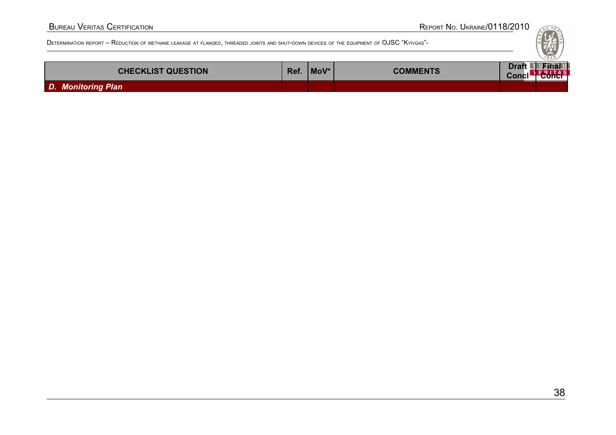| <b>CHECKLIST QUESTION</b> | Ref. | MoV* | <b>COMMENTS</b> | $\sim$ Cons |  |
|---------------------------|------|------|-----------------|-------------|--|
| D. Monitoring Plan        |      |      |                 |             |  |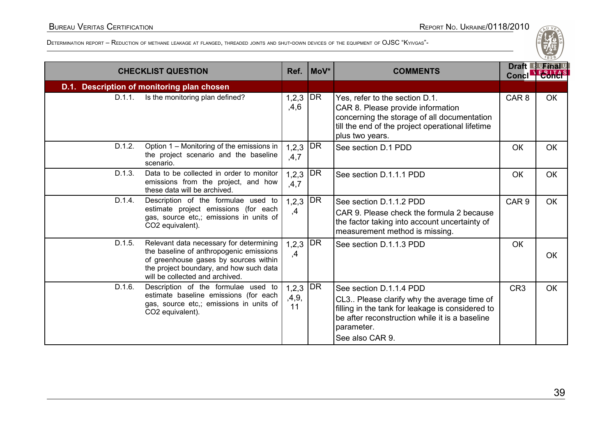|        | <b>CHECKLIST QUESTION</b>                                                                                                                                                                                 | Ref.                 | MoV* | <b>COMMENTS</b>                                                                                                                                                                                              | <b>Concl</b>     | Draft F UFinal U<br><b>ESHAS</b> |
|--------|-----------------------------------------------------------------------------------------------------------------------------------------------------------------------------------------------------------|----------------------|------|--------------------------------------------------------------------------------------------------------------------------------------------------------------------------------------------------------------|------------------|----------------------------------|
|        | D.1. Description of monitoring plan chosen                                                                                                                                                                |                      |      |                                                                                                                                                                                                              |                  |                                  |
| D.1.1. | Is the monitoring plan defined?                                                                                                                                                                           | 1,2,3<br>,4,6        | DR   | Yes, refer to the section D.1.<br>CAR 8. Please provide information<br>concerning the storage of all documentation<br>till the end of the project operational lifetime<br>plus two years.                    | CAR <sub>8</sub> | <b>OK</b>                        |
| D.1.2. | Option 1 – Monitoring of the emissions in<br>the project scenario and the baseline<br>scenario.                                                                                                           | $1,2,3$ DR<br>,4,7   |      | See section D.1 PDD                                                                                                                                                                                          | <b>OK</b>        | <b>OK</b>                        |
| D.1.3. | Data to be collected in order to monitor<br>emissions from the project, and how<br>these data will be archived.                                                                                           | 1, 2, 3<br>,4,7      | DR   | See section D.1.1.1 PDD                                                                                                                                                                                      | <b>OK</b>        | <b>OK</b>                        |
| D.1.4. | Description of the formulae used to<br>estimate project emissions (for each<br>gas, source etc,; emissions in units of<br>CO2 equivalent).                                                                | 1, 2, 3<br>,4        | DR   | See section D.1.1.2 PDD<br>CAR 9. Please check the formula 2 because<br>the factor taking into account uncertainty of<br>measurement method is missing.                                                      | CAR <sub>9</sub> | <b>OK</b>                        |
| D.1.5. | Relevant data necessary for determining<br>the baseline of anthropogenic emissions<br>of greenhouse gases by sources within<br>the project boundary, and how such data<br>will be collected and archived. | 1, 2, 3<br>,4        | DR   | See section D.1.1.3 PDD                                                                                                                                                                                      | OK               | OK                               |
| D.1.6. | Description of the formulae used to<br>estimate baseline emissions (for each<br>gas, source etc,; emissions in units of<br>CO2 equivalent).                                                               | 1,2,3<br>,4,9,<br>11 | DR   | See section D.1.1.4 PDD<br>CL3 Please clarify why the average time of<br>filling in the tank for leakage is considered to<br>be after reconstruction while it is a baseline<br>parameter.<br>See also CAR 9. | CR <sub>3</sub>  | <b>OK</b>                        |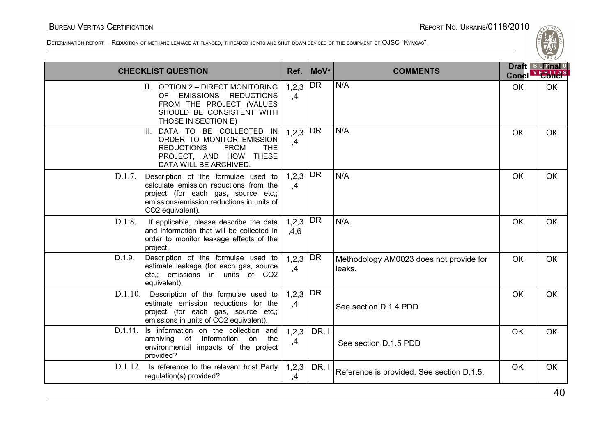

| <b>CHECKLIST QUESTION</b>  |                                                                                                                                                                      | Ref.                            | $ $ MoV*  | <b>COMMENTS</b>                                   | <b>Concl</b> | $\sim$ 829<br>Draft B Final U<br><b>ESHAS</b> |
|----------------------------|----------------------------------------------------------------------------------------------------------------------------------------------------------------------|---------------------------------|-----------|---------------------------------------------------|--------------|-----------------------------------------------|
| 0F                         | II. OPTION 2 - DIRECT MONITORING<br><b>EMISSIONS</b><br><b>REDUCTIONS</b><br>FROM THE PROJECT (VALUES<br>SHOULD BE CONSISTENT WITH<br>THOSE IN SECTION E)            | 1,2,3<br>,4                     | DR        | N/A                                               | OK           | <b>OK</b>                                     |
| III.                       | DATA TO BE COLLECTED IN<br>ORDER TO MONITOR EMISSION<br><b>REDUCTIONS</b><br><b>FROM</b><br><b>THE</b><br>PROJECT, AND HOW THESE<br>DATA WILL BE ARCHIVED.           | 1,2,3<br>,4                     | <b>DR</b> | N/A                                               | OK           | OK                                            |
| D.1.7.<br>CO2 equivalent). | Description of the formulae used to<br>calculate emission reductions from the<br>project (for each gas, source etc,;<br>emissions/emission reductions in units of    | 1,2,3<br>,4                     | DR        | N/A                                               | OK           | OK                                            |
| D.1.8.<br>project.         | If applicable, please describe the data<br>and information that will be collected in<br>order to monitor leakage effects of the                                      | $1,2,3   \overline{DR}$<br>,4,6 |           | N/A                                               | OK           | OK                                            |
| D.1.9.<br>equivalent).     | Description of the formulae used to<br>estimate leakage (for each gas, source<br>etc.; emissions in units of CO2                                                     | 1,2,3<br>,4                     | DR        | Methodology AM0023 does not provide for<br>leaks. | OK           | <b>OK</b>                                     |
|                            | D.1.10. Description of the formulae used to<br>estimate emission reductions for the<br>project (for each gas, source etc,;<br>emissions in units of CO2 equivalent). | $1,2,3$ DR<br>,4                |           | See section D.1.4 PDD                             | OK           | <b>OK</b>                                     |
| archiving<br>provided?     | D.1.11. Is information on the collection and<br>information on<br>of<br>the<br>environmental impacts of the project                                                  | 1,2,3<br>,4                     | DR, I     | See section D.1.5 PDD                             | <b>OK</b>    | <b>OK</b>                                     |
| D.1.12.                    | Is reference to the relevant host Party<br>regulation(s) provided?                                                                                                   | 1,2,3<br>,4                     | DR, I     | Reference is provided. See section D.1.5.         | <b>OK</b>    | <b>OK</b>                                     |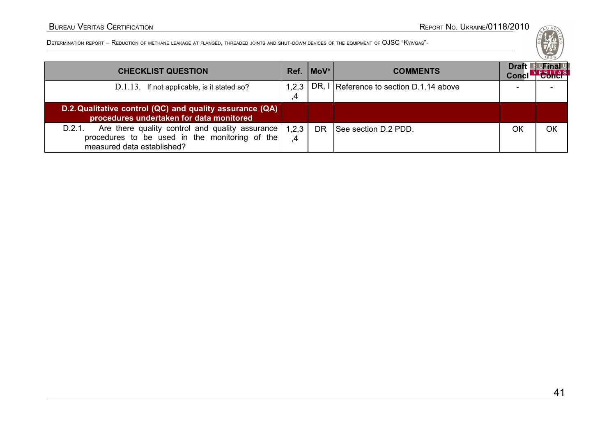

| <b>CHECKLIST QUESTION</b>                                                                                                                 | Ref.        | $ $ MoV $*$ | <b>COMMENTS</b>                         | <b>Draft</b> | UFinal U |
|-------------------------------------------------------------------------------------------------------------------------------------------|-------------|-------------|-----------------------------------------|--------------|----------|
| D.1.13. If not applicable, is it stated so?                                                                                               | 1,2,3<br>4  |             | DR, I Reference to section D.1.14 above |              |          |
| D.2. Qualitative control (QC) and quality assurance (QA)<br>procedures undertaken for data monitored                                      |             |             |                                         |              |          |
| Are there quality control and quality assurance<br>D.2.1.<br>procedures to be used in the monitoring of the<br>measured data established? | 1,2,3<br>.4 | <b>DR</b>   | See section D.2 PDD.                    | ОК           | OК       |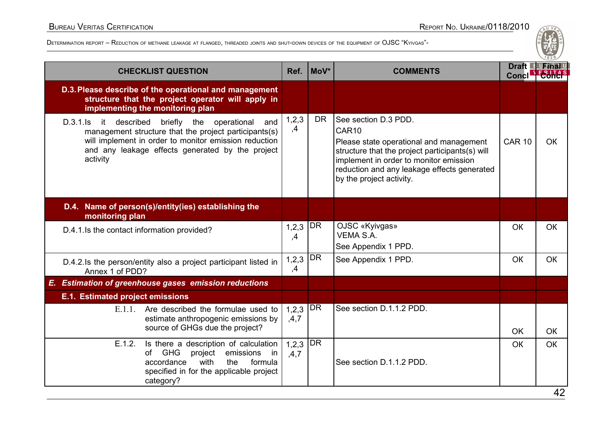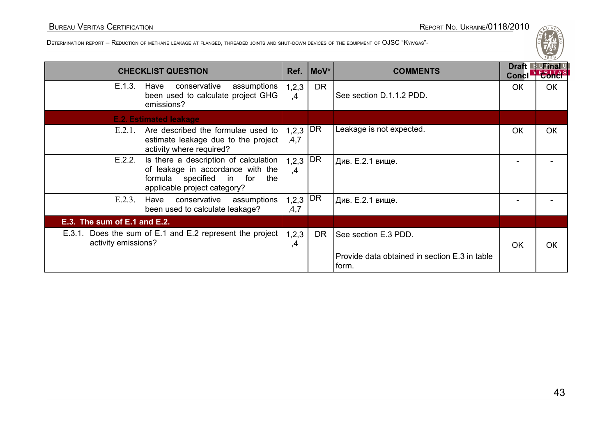| <b>CHECKLIST QUESTION</b>                                                                                                                                  |                    | $Ref. \n\mid \text{MoV*}$ | <b>COMMENTS</b>                                                       | Draft $\Box$<br>Concl' | <b>UFinal U</b><br><b>E-BUTAS</b> |
|------------------------------------------------------------------------------------------------------------------------------------------------------------|--------------------|---------------------------|-----------------------------------------------------------------------|------------------------|-----------------------------------|
| E.1.3.<br>conservative<br>assumptions<br>Have<br>been used to calculate project GHG<br>emissions?                                                          | 1,2,3<br>,4        | <b>DR</b>                 | See section D.1.1.2 PDD.                                              | <b>OK</b>              | <b>OK</b>                         |
| <b>E.2. Estimated leakage</b>                                                                                                                              |                    |                           |                                                                       |                        |                                   |
| E.2.1.<br>Are described the formulae used to<br>estimate leakage due to the project<br>activity where required?                                            | $1,2,3$ DR<br>,4,7 |                           | Leakage is not expected.                                              | <b>OK</b>              | OK                                |
| Is there a description of calculation<br>E.2.2.<br>of leakage in accordance with the<br>formula<br>specified in for<br>the<br>applicable project category? | 1, 2, 3<br>,4      | DR                        | Див. Е.2.1 вище.                                                      |                        |                                   |
| E.2.3.<br>conservative assumptions<br>Have<br>been used to calculate leakage?                                                                              | 1,2,3<br>,4,7      | DR                        | Див. Е.2.1 вище.                                                      |                        |                                   |
| E.3. The sum of E.1 and E.2.                                                                                                                               |                    |                           |                                                                       |                        |                                   |
| Does the sum of E.1 and E.2 represent the project<br>E.3.1.<br>activity emissions?                                                                         |                    | <b>DR</b>                 | See section E.3 PDD.<br>Provide data obtained in section E.3 in table | <b>OK</b>              | OK                                |
|                                                                                                                                                            |                    |                           | form.                                                                 |                        |                                   |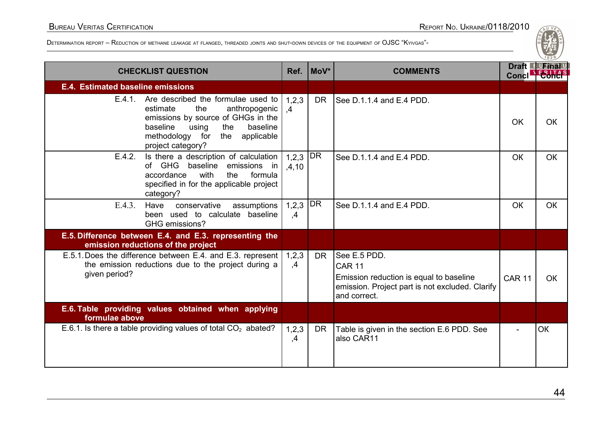| <b>CHECKLIST QUESTION</b>                                                                                                                                                                                                     | Ref.                     | $Mov^*$   | <b>COMMENTS</b>                                                                                                                             | Draft B Final<br><b>Concl</b> |           |
|-------------------------------------------------------------------------------------------------------------------------------------------------------------------------------------------------------------------------------|--------------------------|-----------|---------------------------------------------------------------------------------------------------------------------------------------------|-------------------------------|-----------|
| E.4. Estimated baseline emissions                                                                                                                                                                                             |                          |           |                                                                                                                                             |                               |           |
| E.4.1. Are described the formulae used to $\vert$<br>the<br>anthropogenic<br>estimate<br>emissions by source of GHGs in the<br>baseline<br>baseline<br>using<br>the<br>methodology for<br>the applicable<br>project category? | 1,2,3<br>.4              | DR.       | See D.1.1.4 and E.4 PDD.                                                                                                                    | <b>OK</b>                     | OK        |
| E.4.2.<br>Is there a description of calculation<br>of GHG baseline emissions in<br>with<br>accordance<br>the<br>formula<br>specified in for the applicable project<br>category?                                               | 1,2,3<br>,4,10           | DR        | See D.1.1.4 and E.4 PDD.                                                                                                                    | <b>OK</b>                     | <b>OK</b> |
| $E.4.3$ .<br>conservative<br>Have<br>assumptions<br>been used to calculate baseline<br>GHG emissions?                                                                                                                         | 1, 2, 3<br>$\mathbf{.4}$ | DR        | See D.1.1.4 and E.4 PDD.                                                                                                                    | <b>OK</b>                     | <b>OK</b> |
| E.5. Difference between E.4. and E.3. representing the<br>emission reductions of the project                                                                                                                                  |                          |           |                                                                                                                                             |                               |           |
| E.5.1. Does the difference between E.4. and E.3. represent<br>the emission reductions due to the project during a<br>given period?                                                                                            |                          | DR.       | See E.5 PDD.<br><b>CAR 11</b><br>Emission reduction is equal to baseline<br>emission. Project part is not excluded. Clarify<br>and correct. | <b>CAR 11</b>                 | OK        |
| E.6. Table providing values obtained when applying<br>formulae above                                                                                                                                                          |                          |           |                                                                                                                                             |                               |           |
| E.6.1. Is there a table providing values of total $CO2$ abated?                                                                                                                                                               | 1, 2, 3<br>,4            | <b>DR</b> | Table is given in the section E.6 PDD. See<br>also CAR11                                                                                    |                               | <b>OK</b> |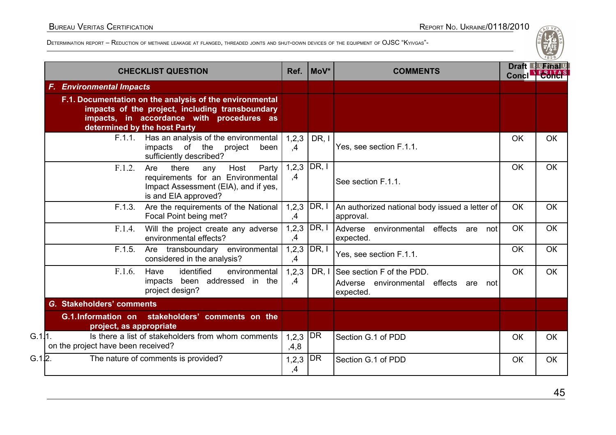| <b>CHECKLIST QUESTION</b>                                                               |                                                                                                                                    | Ref.          | MoV*          | <b>COMMENTS</b>                                                                    | Concl <sup>-</sup> | Draft Furinal |
|-----------------------------------------------------------------------------------------|------------------------------------------------------------------------------------------------------------------------------------|---------------|---------------|------------------------------------------------------------------------------------|--------------------|---------------|
| <b>F. Environmental Impacts</b>                                                         |                                                                                                                                    |               |               |                                                                                    |                    |               |
| F.1. Documentation on the analysis of the environmental<br>determined by the host Party | impacts of the project, including transboundary<br>impacts, in accordance with procedures as                                       |               |               |                                                                                    |                    |               |
| F.1.1.<br>impacts                                                                       | Has an analysis of the environmental<br>of the<br>project<br>been<br>sufficiently described?                                       | 1,2,3<br>,4   | DR, I         | Yes, see section F.1.1.                                                            | OK                 | OK            |
| F.1.2.<br>Are                                                                           | there<br>Party<br>Host<br>any<br>requirements for an Environmental<br>Impact Assessment (EIA), and if yes,<br>is and EIA approved? | 1,2,3<br>,4   | DR, I         | See section F.1.1.                                                                 | OK                 | <b>OK</b>     |
| F.1.3.                                                                                  | Are the requirements of the National<br>Focal Point being met?                                                                     | 1,2,3<br>,4   | DR, I         | An authorized national body issued a letter of<br>approval.                        | OK                 | <b>OK</b>     |
| F.1.4.                                                                                  | Will the project create any adverse<br>environmental effects?                                                                      | ,4            | $1,2,3$ DR, I | Adverse<br>environmental<br>effects<br>not<br>are<br>expected.                     | <b>OK</b>          | OK            |
| F.1.5.                                                                                  | Are transboundary environmental<br>considered in the analysis?                                                                     | 1,2,3<br>,4   | DR, I         | Yes, see section F.1.1.                                                            | OK                 | OK            |
| F.1.6.<br>Have<br>impacts<br>project design?                                            | identified<br>environmental<br>been addressed in the                                                                               | 1,2,3<br>,4   | DR, I         | See section F of the PDD.<br>Adverse environmental effects<br>are not<br>expected. | <b>OK</b>          | <b>OK</b>     |
| G. Stakeholders' comments                                                               |                                                                                                                                    |               |               |                                                                                    |                    |               |
| G.1.Information on stakeholders' comments on the<br>project, as appropriate             |                                                                                                                                    |               |               |                                                                                    |                    |               |
| G.1 1.<br>on the project have been received?                                            | Is there a list of stakeholders from whom comments                                                                                 |               | DR<br>1, 2, 3 | Section G.1 of PDD                                                                 | OK                 | <b>OK</b>     |
| G.1 2.<br>The nature of comments is provided?                                           |                                                                                                                                    | 1, 2, 3<br>,4 | <b>DR</b>     | Section G.1 of PDD                                                                 | OK                 | <b>OK</b>     |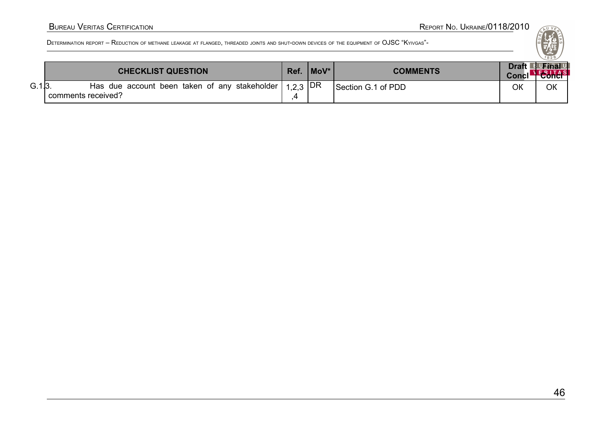|       | <b>CHECKLIST QUESTION</b>                                                       | Ref. | / MoV* | <b>COMMENTS</b>    | Concl <sup>-</sup> | Draft Furinal U<br><b>Tonc</b> |
|-------|---------------------------------------------------------------------------------|------|--------|--------------------|--------------------|--------------------------------|
| G.1 3 | Has due account been taken of any stakeholder $ 1,2,3 DR$<br>comments received? |      |        | Section G.1 of PDD | ОК                 | ОК                             |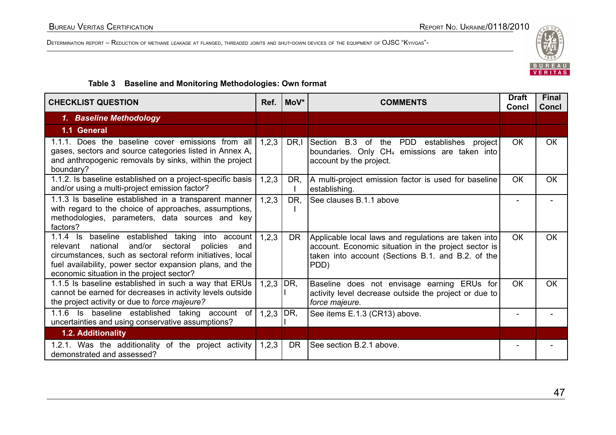

#### **Table 3 Baseline and Monitoring Methodologies: Own format**

| <b>CHECKLIST QUESTION</b>                                                                                                                                                                                                                                                             |               | MoV*      | <b>COMMENTS</b>                                                                                                                                                           | <b>Draft</b><br>Concl | <b>Final</b><br><b>Concl</b> |
|---------------------------------------------------------------------------------------------------------------------------------------------------------------------------------------------------------------------------------------------------------------------------------------|---------------|-----------|---------------------------------------------------------------------------------------------------------------------------------------------------------------------------|-----------------------|------------------------------|
| 1. Baseline Methodology                                                                                                                                                                                                                                                               |               |           |                                                                                                                                                                           |                       |                              |
| 1.1 General                                                                                                                                                                                                                                                                           |               |           |                                                                                                                                                                           |                       |                              |
| 1.1.1. Does the baseline cover emissions from all<br>gases, sectors and source categories listed in Annex A,<br>and anthropogenic removals by sinks, within the project<br>boundary?                                                                                                  | 1,2,3         | DR,I      | Section B.3 of the PDD establishes project<br>boundaries. Only CH <sub>4</sub> emissions are taken into<br>account by the project.                                        | OK                    | <b>OK</b>                    |
| 1.1.2. Is baseline established on a project-specific basis<br>and/or using a multi-project emission factor?                                                                                                                                                                           | 1,2,3         | DR,       | A multi-project emission factor is used for baseline<br>establishing.                                                                                                     | OK                    | <b>OK</b>                    |
| 1.1.3 Is baseline established in a transparent manner<br>with regard to the choice of approaches, assumptions,<br>methodologies, parameters, data sources and key<br>factors?                                                                                                         | 1,2,3         | DR,       | See clauses B.1.1 above                                                                                                                                                   |                       |                              |
| 1.1.4 Is baseline established taking into account<br>and/or sectoral<br>national<br>relevant<br>policies<br>and<br>circumstances, such as sectoral reform initiatives, local<br>fuel availability, power sector expansion plans, and the<br>economic situation in the project sector? | 1,2,3         | <b>DR</b> | Applicable local laws and regulations are taken into<br>account. Economic situation in the project sector is<br>taken into account (Sections B.1. and B.2. of the<br>PDD) | <b>OK</b>             | OК                           |
| 1.1.5 Is baseline established in such a way that ERUs<br>cannot be earned for decreases in activity levels outside<br>the project activity or due to force majeure?                                                                                                                   | 1,2,3         | DR,       | Baseline does not envisage earning ERUs for<br>activity level decrease outside the project or due to<br>force majeure.                                                    | <b>OK</b>             | <b>OK</b>                    |
| 1.1.6 Is baseline established taking account of<br>uncertainties and using conservative assumptions?                                                                                                                                                                                  | 1,2,3 $ DR$ , |           | See items E.1.3 (CR13) above.                                                                                                                                             |                       |                              |
| 1.2. Additionality                                                                                                                                                                                                                                                                    |               |           |                                                                                                                                                                           |                       |                              |
| 1.2.1. Was the additionality of the project activity<br>demonstrated and assessed?                                                                                                                                                                                                    | 1,2,3         | <b>DR</b> | See section B.2.1 above.                                                                                                                                                  |                       |                              |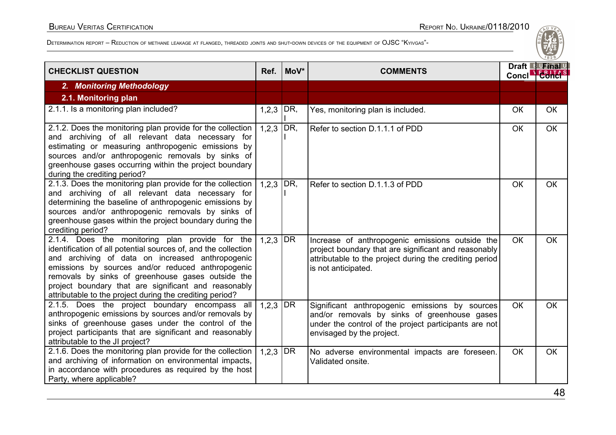| <b>CHECKLIST QUESTION</b>                                                                                                                                                                                                                                                                                                                                                                           | Ref.        | MoV*            | <b>COMMENTS</b>                                                                                                                                                                           | Conclet Conci | Draft F Final |
|-----------------------------------------------------------------------------------------------------------------------------------------------------------------------------------------------------------------------------------------------------------------------------------------------------------------------------------------------------------------------------------------------------|-------------|-----------------|-------------------------------------------------------------------------------------------------------------------------------------------------------------------------------------------|---------------|---------------|
| 2. Monitoring Methodology                                                                                                                                                                                                                                                                                                                                                                           |             |                 |                                                                                                                                                                                           |               |               |
| 2.1. Monitoring plan                                                                                                                                                                                                                                                                                                                                                                                |             |                 |                                                                                                                                                                                           |               |               |
| 2.1.1. Is a monitoring plan included?                                                                                                                                                                                                                                                                                                                                                               | $1,2,3$ DR, |                 | Yes, monitoring plan is included.                                                                                                                                                         | <b>OK</b>     | <b>OK</b>     |
| 2.1.2. Does the monitoring plan provide for the collection<br>and archiving of all relevant data necessary for<br>estimating or measuring anthropogenic emissions by<br>sources and/or anthropogenic removals by sinks of<br>greenhouse gases occurring within the project boundary<br>during the crediting period?                                                                                 | 1,2,3       | DR,             | Refer to section D.1.1.1 of PDD                                                                                                                                                           | <b>OK</b>     | <b>OK</b>     |
| 2.1.3. Does the monitoring plan provide for the collection<br>and archiving of all relevant data necessary for<br>determining the baseline of anthropogenic emissions by<br>sources and/or anthropogenic removals by sinks of<br>greenhouse gases within the project boundary during the<br>crediting period?                                                                                       | 1,2,3       | DR,             | Refer to section D.1.1.3 of PDD                                                                                                                                                           | <b>OK</b>     | <b>OK</b>     |
| 2.1.4. Does the monitoring plan provide for the<br>identification of all potential sources of, and the collection<br>and archiving of data on increased anthropogenic<br>emissions by sources and/or reduced anthropogenic<br>removals by sinks of greenhouse gases outside the<br>project boundary that are significant and reasonably<br>attributable to the project during the crediting period? | 1,2,3       | DR              | Increase of anthropogenic emissions outside the<br>project boundary that are significant and reasonably<br>attributable to the project during the crediting period<br>is not anticipated. | <b>OK</b>     | <b>OK</b>     |
| 2.1.5. Does the project boundary encompass all<br>anthropogenic emissions by sources and/or removals by<br>sinks of greenhouse gases under the control of the<br>project participants that are significant and reasonably<br>attributable to the JI project?                                                                                                                                        | 1,2,3       | DR              | Significant anthropogenic emissions by sources<br>and/or removals by sinks of greenhouse gases<br>under the control of the project participants are not<br>envisaged by the project.      | <b>OK</b>     | <b>OK</b>     |
| 2.1.6. Does the monitoring plan provide for the collection<br>and archiving of information on environmental impacts,<br>in accordance with procedures as required by the host<br>Party, where applicable?                                                                                                                                                                                           | 1, 2, 3     | DR <sup>1</sup> | No adverse environmental impacts are foreseen.<br>Validated onsite.                                                                                                                       | <b>OK</b>     | <b>OK</b>     |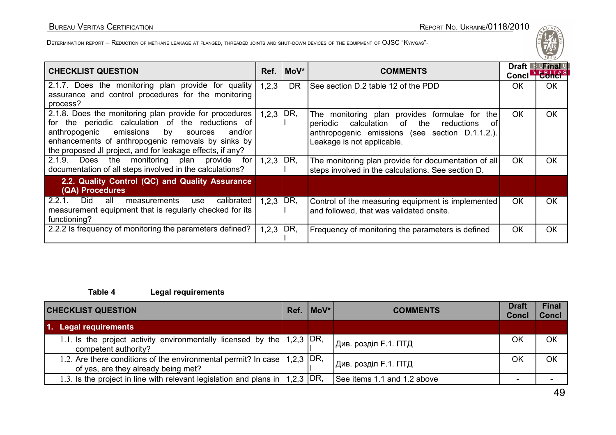| <b>CHECKLIST QUESTION</b>                                                                                                                                                                                                                                                            | Ref.        | MoV*        | <b>COMMENTS</b>                                                                                                                                                                             | Draft L<br>Concl' | <sup>la</sup> UFinal <sup>u</sup><br><b>ERITA</b> |
|--------------------------------------------------------------------------------------------------------------------------------------------------------------------------------------------------------------------------------------------------------------------------------------|-------------|-------------|---------------------------------------------------------------------------------------------------------------------------------------------------------------------------------------------|-------------------|---------------------------------------------------|
| 2.1.7. Does the monitoring plan provide for quality<br>assurance and control procedures for the monitoring<br>process?                                                                                                                                                               | 1,2,3       | <b>DR</b>   | See section D.2 table 12 of the PDD                                                                                                                                                         | OK.               | <b>OK</b>                                         |
| 2.1.8. Does the monitoring plan provide for procedures<br>for the periodic calculation of the reductions of<br>emissions by<br>anthropogenic<br>and/or<br>sources<br>enhancements of anthropogenic removals by sinks by<br>the proposed JI project, and for leakage effects, if any? |             | $1,2,3$ DR, | The monitoring plan provides formulae for<br>the l<br>calculation of the<br>reductions<br>periodic<br>. of<br>anthropogenic emissions (see section D.1.1.2.).<br>Leakage is not applicable. | <b>OK</b>         | <b>OK</b>                                         |
| 2.1.9.<br>the<br>monitoring plan provide<br>for<br>Does<br>documentation of all steps involved in the calculations?                                                                                                                                                                  | $1,2,3$ DR, |             | The monitoring plan provide for documentation of all<br>steps involved in the calculations. See section D.                                                                                  | <b>OK</b>         | <b>OK</b>                                         |
| 2.2. Quality Control (QC) and Quality Assurance<br>(QA) Procedures                                                                                                                                                                                                                   |             |             |                                                                                                                                                                                             |                   |                                                   |
| 2.2.1.<br>calibrated<br>Did.<br>all<br>measurements<br>use<br>measurement equipment that is regularly checked for its<br>functioning?                                                                                                                                                | $1,2,3$ DR, |             | Control of the measuring equipment is implemented<br>and followed, that was validated onsite.                                                                                               | <b>OK</b>         | <b>OK</b>                                         |
| 2.2.2 Is frequency of monitoring the parameters defined?                                                                                                                                                                                                                             | $1,2,3$ DR, |             | Frequency of monitoring the parameters is defined                                                                                                                                           | OK                | <b>OK</b>                                         |

#### **Table 4 Legal requirements**

| <b>CHECKLIST QUESTION</b>                                                                                       |  | $ $ MoV $*$ | <b>COMMENTS</b>                   | <b>Draft</b><br><b>Concl</b> | <b>Final</b><br><b>Concl</b> |  |
|-----------------------------------------------------------------------------------------------------------------|--|-------------|-----------------------------------|------------------------------|------------------------------|--|
| 1. Legal requirements                                                                                           |  |             |                                   |                              |                              |  |
| 1.1. Is the project activity environmentally licensed by the $\mid$ 1,2,3 $\mid$ DR,<br>competent authority?    |  |             | <sup>1</sup> Див. розділ F.1. ПТД | OK                           | OK                           |  |
| 1.2. Are there conditions of the environmental permit? In case 1,2,3 DR,<br>of yes, are they already being met? |  |             | Див. розділ F.1. ПТД              | OK                           | OK                           |  |
| 1.3. Is the project in line with relevant legislation and plans in $\mid$ 1,2,3 $\mid$ DR,                      |  |             | See items 1.1 and 1.2 above       | $\overline{\phantom{0}}$     |                              |  |
| $\sim$                                                                                                          |  |             |                                   |                              |                              |  |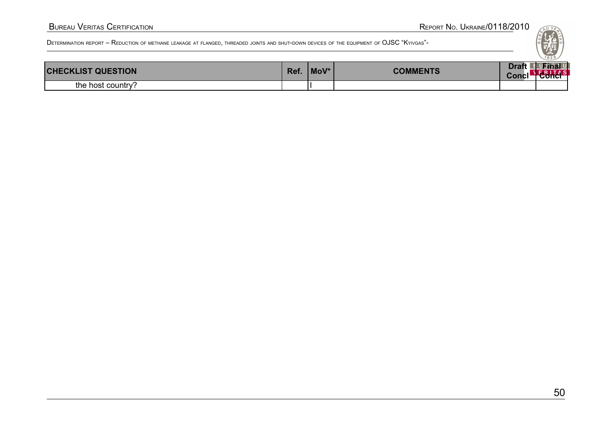| <b>CHECKLIST QUESTION</b> |  | MoV* | <b>COMMENTS</b> | <b>Draft</b><br>Concl <sup>-</sup> | <sup>B</sup> UFinal U<br><del>conci</del> |
|---------------------------|--|------|-----------------|------------------------------------|-------------------------------------------|
| the host country?         |  |      |                 |                                    |                                           |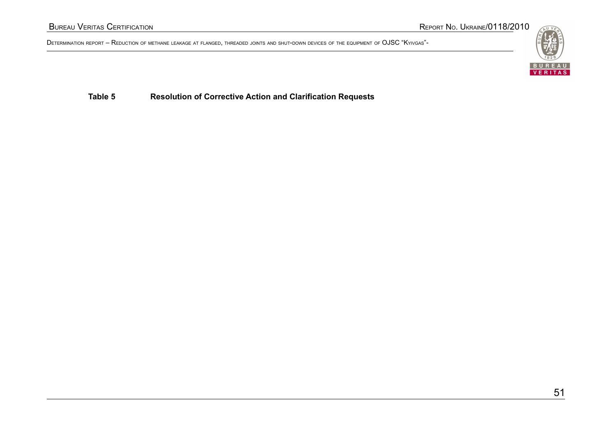

**Table 5 Resolution of Corrective Action and Clarification Requests**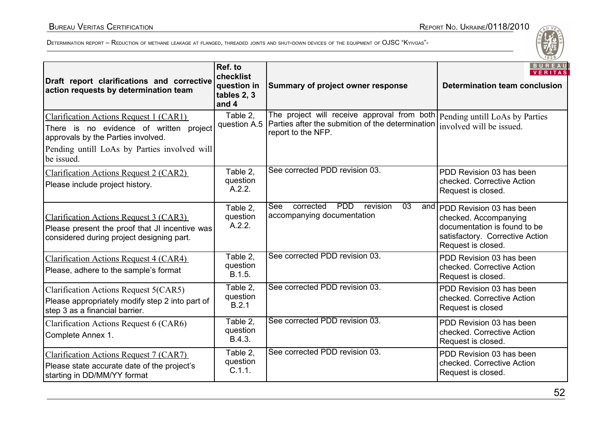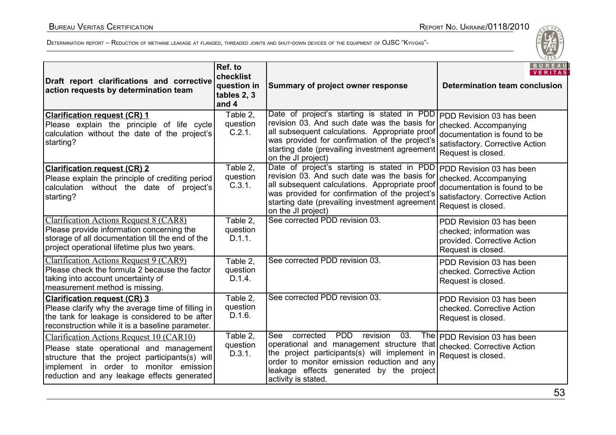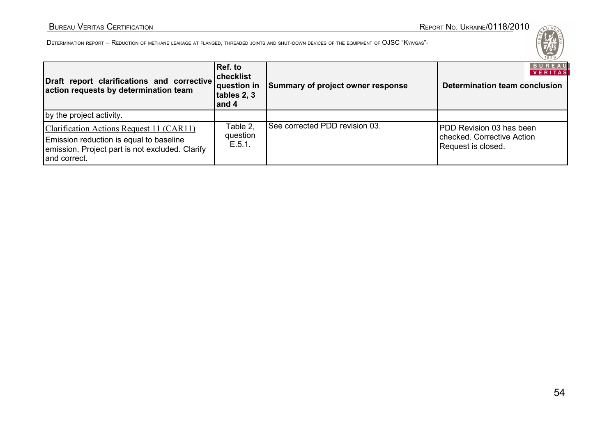#### BUREAU VERITAS CERTIFICATION REPORT NO. UKRAINE/0118/2010

| Draft report clarifications and corrective<br>action requests by determination team                                                                    | Ref. to<br><b>checklist</b><br>$ $ question in<br>tables 2, 3<br>and 4 | Summary of project owner response | 1828/<br><b>BUREAU</b><br><b>VERITAS</b><br>Determination team conclusion    |
|--------------------------------------------------------------------------------------------------------------------------------------------------------|------------------------------------------------------------------------|-----------------------------------|------------------------------------------------------------------------------|
| by the project activity.                                                                                                                               |                                                                        |                                   |                                                                              |
| Clarification Actions Request 11 (CAR11)<br>Emission reduction is equal to baseline<br>emission. Project part is not excluded. Clarify<br>and correct. | Table 2,<br>question<br>E.5.1.                                         | See corrected PDD revision 03.    | PDD Revision 03 has been<br>checked. Corrective Action<br>Request is closed. |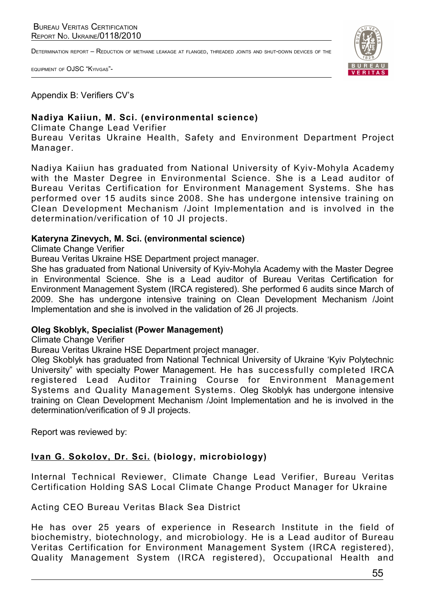DETERMINATION REPORT – REDUCTION OF METHANE LEAKAGE AT FLANGED, THREADED JOINTS AND SHUT-DOWN DEVICES OF THE

EQUIPMENT OF OJSC "KYIVGAS"-



Appendix B: Verifiers CV's

# **Nadiya Kaiiun, M. Sci. (environmental science)**

Climate Change Lead Verifier

Bureau Veritas Ukraine Health, Safety and Environment Department Project Manager.

Nadiya Kaiiun has graduated from National University of Kyiv-Mohyla Academy with the Master Degree in Environmental Science. She is a Lead auditor of Bureau Veritas Certification for Environment Management Systems. She has performed over 15 audits since 2008. She has undergone intensive training on Clean Development Mechanism /Joint Implementation and is involved in the determination/verification of 10 JI projects.

#### **Kateryna Zinevych, M. Sci. (environmental science)**

Climate Change Verifier

Bureau Veritas Ukraine HSE Department project manager.

She has graduated from National University of Kyiv-Mohyla Academy with the Master Degree in Environmental Science. She is a Lead auditor of Bureau Veritas Certification for Environment Management System (IRCA registered). She performed 6 audits since March of 2009. She has undergone intensive training on Clean Development Mechanism /Joint Implementation and she is involved in the validation of 26 JI projects.

#### **Oleg Skoblyk, Specialist (Power Management)**

Climate Change Verifier

Bureau Veritas Ukraine HSE Department project manager.

Oleg Skoblyk has graduated from National Technical University of Ukraine 'Kyiv Polytechnic University" with specialty Power Management. He has successfully completed IRCA registered Lead Auditor Training Course for Environment Management Systems and Quality Management Systems. Oleg Skoblyk has undergone intensive training on Clean Development Mechanism /Joint Implementation and he is involved in the determination/verification of 9 JI projects.

Report was reviewed by:

### **Ivan G. Sokolov, Dr. Sci. (biology, microbiology)**

Internal Technical Reviewer, Climate Change Lead Verifier, Bureau Veritas Certification Holding SAS Local Climate Change Product Manager for Ukraine

Acting CEO Bureau Veritas Black Sea District

He has over 25 years of experience in Research Institute in the field of biochemistry, biotechnology, and microbiology. He is a Lead auditor of Bureau Veritas Certification for Environment Management System (IRCA registered), Quality Management System (IRCA registered), Occupational Health and